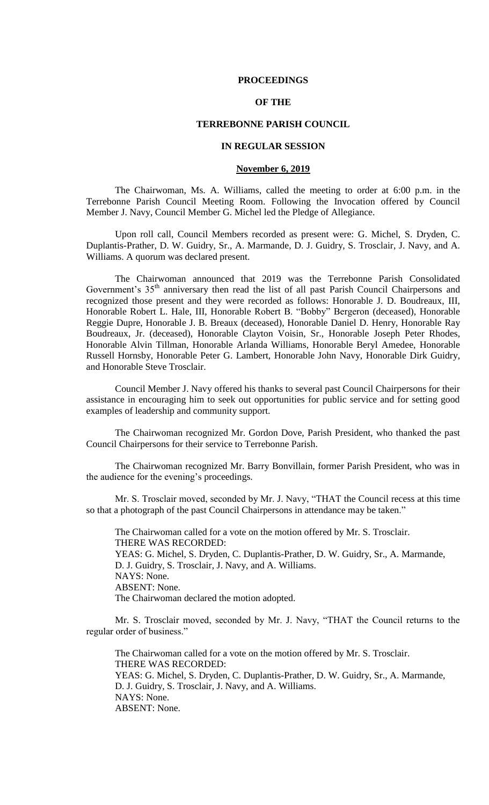### **PROCEEDINGS**

## **OF THE**

## **TERREBONNE PARISH COUNCIL**

### **IN REGULAR SESSION**

#### **November 6, 2019**

The Chairwoman, Ms. A. Williams, called the meeting to order at 6:00 p.m. in the Terrebonne Parish Council Meeting Room. Following the Invocation offered by Council Member J. Navy, Council Member G. Michel led the Pledge of Allegiance.

Upon roll call, Council Members recorded as present were: G. Michel, S. Dryden, C. Duplantis-Prather, D. W. Guidry, Sr., A. Marmande, D. J. Guidry, S. Trosclair, J. Navy, and A. Williams. A quorum was declared present.

The Chairwoman announced that 2019 was the Terrebonne Parish Consolidated Government's 35<sup>th</sup> anniversary then read the list of all past Parish Council Chairpersons and recognized those present and they were recorded as follows: Honorable J. D. Boudreaux, III, Honorable Robert L. Hale, III, Honorable Robert B. "Bobby" Bergeron (deceased), Honorable Reggie Dupre, Honorable J. B. Breaux (deceased), Honorable Daniel D. Henry, Honorable Ray Boudreaux, Jr. (deceased), Honorable Clayton Voisin, Sr., Honorable Joseph Peter Rhodes, Honorable Alvin Tillman, Honorable Arlanda Williams, Honorable Beryl Amedee, Honorable Russell Hornsby, Honorable Peter G. Lambert, Honorable John Navy, Honorable Dirk Guidry, and Honorable Steve Trosclair.

Council Member J. Navy offered his thanks to several past Council Chairpersons for their assistance in encouraging him to seek out opportunities for public service and for setting good examples of leadership and community support.

The Chairwoman recognized Mr. Gordon Dove, Parish President, who thanked the past Council Chairpersons for their service to Terrebonne Parish.

The Chairwoman recognized Mr. Barry Bonvillain, former Parish President, who was in the audience for the evening's proceedings.

Mr. S. Trosclair moved, seconded by Mr. J. Navy, "THAT the Council recess at this time so that a photograph of the past Council Chairpersons in attendance may be taken."

The Chairwoman called for a vote on the motion offered by Mr. S. Trosclair. THERE WAS RECORDED: YEAS: G. Michel, S. Dryden, C. Duplantis-Prather, D. W. Guidry, Sr., A. Marmande, D. J. Guidry, S. Trosclair, J. Navy, and A. Williams. NAYS: None. ABSENT: None. The Chairwoman declared the motion adopted.

Mr. S. Trosclair moved, seconded by Mr. J. Navy, "THAT the Council returns to the regular order of business."

The Chairwoman called for a vote on the motion offered by Mr. S. Trosclair. THERE WAS RECORDED: YEAS: G. Michel, S. Dryden, C. Duplantis-Prather, D. W. Guidry, Sr., A. Marmande, D. J. Guidry, S. Trosclair, J. Navy, and A. Williams. NAYS: None. ABSENT: None.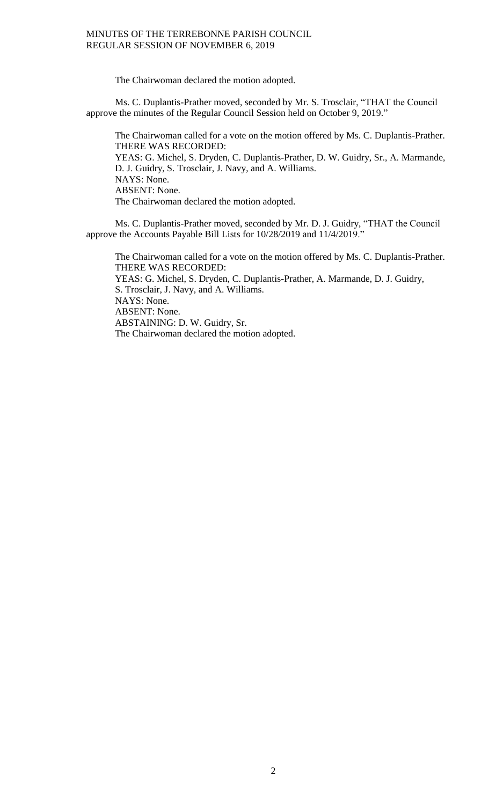The Chairwoman declared the motion adopted.

Ms. C. Duplantis-Prather moved, seconded by Mr. S. Trosclair, "THAT the Council approve the minutes of the Regular Council Session held on October 9, 2019."

The Chairwoman called for a vote on the motion offered by Ms. C. Duplantis-Prather. THERE WAS RECORDED: YEAS: G. Michel, S. Dryden, C. Duplantis-Prather, D. W. Guidry, Sr., A. Marmande, D. J. Guidry, S. Trosclair, J. Navy, and A. Williams. NAYS: None. ABSENT: None. The Chairwoman declared the motion adopted.

Ms. C. Duplantis-Prather moved, seconded by Mr. D. J. Guidry, "THAT the Council approve the Accounts Payable Bill Lists for 10/28/2019 and 11/4/2019."

The Chairwoman called for a vote on the motion offered by Ms. C. Duplantis-Prather. THERE WAS RECORDED: YEAS: G. Michel, S. Dryden, C. Duplantis-Prather, A. Marmande, D. J. Guidry, S. Trosclair, J. Navy, and A. Williams. NAYS: None. ABSENT: None. ABSTAINING: D. W. Guidry, Sr. The Chairwoman declared the motion adopted.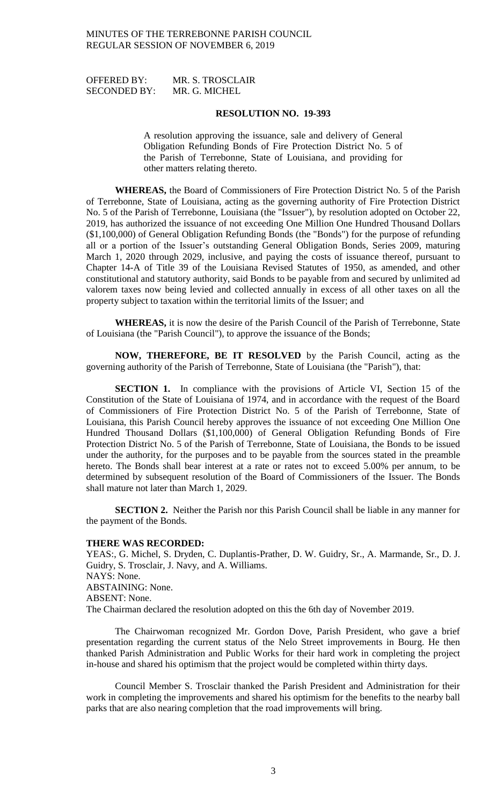OFFERED BY: MR. S. TROSCLAIR SECONDED BY: MR. G. MICHEL

#### **RESOLUTION NO. 19-393**

A resolution approving the issuance, sale and delivery of General Obligation Refunding Bonds of Fire Protection District No. 5 of the Parish of Terrebonne, State of Louisiana, and providing for other matters relating thereto.

**WHEREAS,** the Board of Commissioners of Fire Protection District No. 5 of the Parish of Terrebonne, State of Louisiana, acting as the governing authority of Fire Protection District No. 5 of the Parish of Terrebonne, Louisiana (the "Issuer"), by resolution adopted on October 22, 2019, has authorized the issuance of not exceeding One Million One Hundred Thousand Dollars (\$1,100,000) of General Obligation Refunding Bonds (the "Bonds") for the purpose of refunding all or a portion of the Issuer's outstanding General Obligation Bonds, Series 2009, maturing March 1, 2020 through 2029, inclusive, and paying the costs of issuance thereof, pursuant to Chapter 14-A of Title 39 of the Louisiana Revised Statutes of 1950, as amended, and other constitutional and statutory authority, said Bonds to be payable from and secured by unlimited ad valorem taxes now being levied and collected annually in excess of all other taxes on all the property subject to taxation within the territorial limits of the Issuer; and

**WHEREAS,** it is now the desire of the Parish Council of the Parish of Terrebonne, State of Louisiana (the "Parish Council"), to approve the issuance of the Bonds;

**NOW, THEREFORE, BE IT RESOLVED** by the Parish Council, acting as the governing authority of the Parish of Terrebonne, State of Louisiana (the "Parish"), that:

**SECTION 1.** In compliance with the provisions of Article VI, Section 15 of the Constitution of the State of Louisiana of 1974, and in accordance with the request of the Board of Commissioners of Fire Protection District No. 5 of the Parish of Terrebonne, State of Louisiana, this Parish Council hereby approves the issuance of not exceeding One Million One Hundred Thousand Dollars (\$1,100,000) of General Obligation Refunding Bonds of Fire Protection District No. 5 of the Parish of Terrebonne, State of Louisiana, the Bonds to be issued under the authority, for the purposes and to be payable from the sources stated in the preamble hereto. The Bonds shall bear interest at a rate or rates not to exceed 5.00% per annum, to be determined by subsequent resolution of the Board of Commissioners of the Issuer. The Bonds shall mature not later than March 1, 2029.

**SECTION 2.** Neither the Parish nor this Parish Council shall be liable in any manner for the payment of the Bonds.

#### **THERE WAS RECORDED:**

YEAS:, G. Michel, S. Dryden, C. Duplantis-Prather, D. W. Guidry, Sr., A. Marmande, Sr., D. J. Guidry, S. Trosclair, J. Navy, and A. Williams. NAYS: None. ABSTAINING: None. ABSENT: None. The Chairman declared the resolution adopted on this the 6th day of November 2019.

The Chairwoman recognized Mr. Gordon Dove, Parish President, who gave a brief presentation regarding the current status of the Nelo Street improvements in Bourg. He then thanked Parish Administration and Public Works for their hard work in completing the project in-house and shared his optimism that the project would be completed within thirty days.

Council Member S. Trosclair thanked the Parish President and Administration for their work in completing the improvements and shared his optimism for the benefits to the nearby ball parks that are also nearing completion that the road improvements will bring.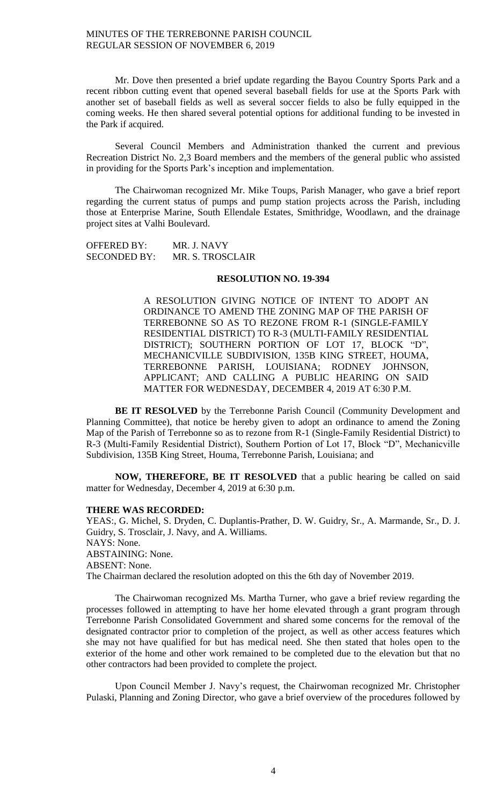Mr. Dove then presented a brief update regarding the Bayou Country Sports Park and a recent ribbon cutting event that opened several baseball fields for use at the Sports Park with another set of baseball fields as well as several soccer fields to also be fully equipped in the coming weeks. He then shared several potential options for additional funding to be invested in the Park if acquired.

Several Council Members and Administration thanked the current and previous Recreation District No. 2,3 Board members and the members of the general public who assisted in providing for the Sports Park's inception and implementation.

The Chairwoman recognized Mr. Mike Toups, Parish Manager, who gave a brief report regarding the current status of pumps and pump station projects across the Parish, including those at Enterprise Marine, South Ellendale Estates, Smithridge, Woodlawn, and the drainage project sites at Valhi Boulevard.

OFFERED BY: MR. J. NAVY SECONDED BY: MR. S. TROSCLAIR

#### **RESOLUTION NO. 19-394**

A RESOLUTION GIVING NOTICE OF INTENT TO ADOPT AN ORDINANCE TO AMEND THE ZONING MAP OF THE PARISH OF TERREBONNE SO AS TO REZONE FROM R-1 (SINGLE-FAMILY RESIDENTIAL DISTRICT) TO R-3 (MULTI-FAMILY RESIDENTIAL DISTRICT); SOUTHERN PORTION OF LOT 17, BLOCK "D", MECHANICVILLE SUBDIVISION, 135B KING STREET, HOUMA, TERREBONNE PARISH, LOUISIANA; RODNEY JOHNSON, APPLICANT; AND CALLING A PUBLIC HEARING ON SAID MATTER FOR WEDNESDAY, DECEMBER 4, 2019 AT 6:30 P.M.

**BE IT RESOLVED** by the Terrebonne Parish Council (Community Development and Planning Committee), that notice be hereby given to adopt an ordinance to amend the Zoning Map of the Parish of Terrebonne so as to rezone from R-1 (Single-Family Residential District) to R-3 (Multi-Family Residential District), Southern Portion of Lot 17, Block "D", Mechanicville Subdivision, 135B King Street, Houma, Terrebonne Parish, Louisiana; and

**NOW, THEREFORE, BE IT RESOLVED** that a public hearing be called on said matter for Wednesday, December 4, 2019 at 6:30 p.m.

#### **THERE WAS RECORDED:**

YEAS:, G. Michel, S. Dryden, C. Duplantis-Prather, D. W. Guidry, Sr., A. Marmande, Sr., D. J. Guidry, S. Trosclair, J. Navy, and A. Williams. NAYS: None. ABSTAINING: None. ABSENT: None. The Chairman declared the resolution adopted on this the 6th day of November 2019.

The Chairwoman recognized Ms. Martha Turner, who gave a brief review regarding the processes followed in attempting to have her home elevated through a grant program through Terrebonne Parish Consolidated Government and shared some concerns for the removal of the designated contractor prior to completion of the project, as well as other access features which she may not have qualified for but has medical need. She then stated that holes open to the exterior of the home and other work remained to be completed due to the elevation but that no other contractors had been provided to complete the project.

Upon Council Member J. Navy's request, the Chairwoman recognized Mr. Christopher Pulaski, Planning and Zoning Director, who gave a brief overview of the procedures followed by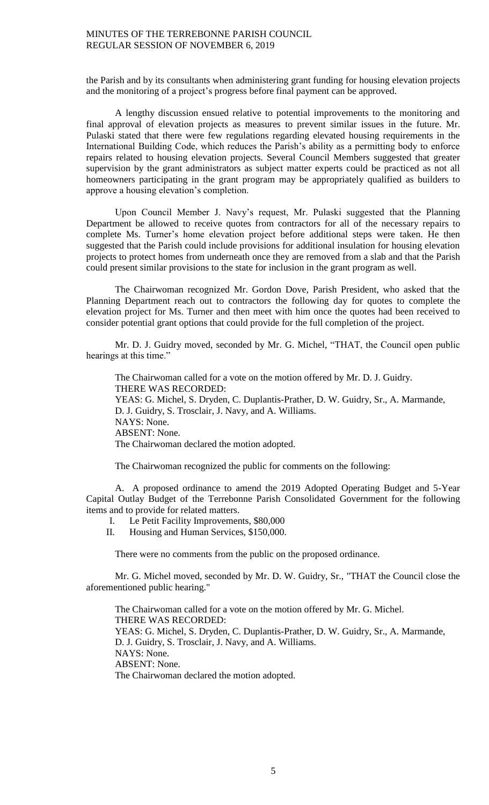the Parish and by its consultants when administering grant funding for housing elevation projects and the monitoring of a project's progress before final payment can be approved.

A lengthy discussion ensued relative to potential improvements to the monitoring and final approval of elevation projects as measures to prevent similar issues in the future. Mr. Pulaski stated that there were few regulations regarding elevated housing requirements in the International Building Code, which reduces the Parish's ability as a permitting body to enforce repairs related to housing elevation projects. Several Council Members suggested that greater supervision by the grant administrators as subject matter experts could be practiced as not all homeowners participating in the grant program may be appropriately qualified as builders to approve a housing elevation's completion.

Upon Council Member J. Navy's request, Mr. Pulaski suggested that the Planning Department be allowed to receive quotes from contractors for all of the necessary repairs to complete Ms. Turner's home elevation project before additional steps were taken. He then suggested that the Parish could include provisions for additional insulation for housing elevation projects to protect homes from underneath once they are removed from a slab and that the Parish could present similar provisions to the state for inclusion in the grant program as well.

The Chairwoman recognized Mr. Gordon Dove, Parish President, who asked that the Planning Department reach out to contractors the following day for quotes to complete the elevation project for Ms. Turner and then meet with him once the quotes had been received to consider potential grant options that could provide for the full completion of the project.

Mr. D. J. Guidry moved, seconded by Mr. G. Michel, "THAT, the Council open public hearings at this time."

The Chairwoman called for a vote on the motion offered by Mr. D. J. Guidry. THERE WAS RECORDED: YEAS: G. Michel, S. Dryden, C. Duplantis-Prather, D. W. Guidry, Sr., A. Marmande, D. J. Guidry, S. Trosclair, J. Navy, and A. Williams. NAYS: None. ABSENT: None. The Chairwoman declared the motion adopted.

The Chairwoman recognized the public for comments on the following:

A. A proposed ordinance to amend the 2019 Adopted Operating Budget and 5-Year Capital Outlay Budget of the Terrebonne Parish Consolidated Government for the following items and to provide for related matters.

- I. Le Petit Facility Improvements, \$80,000
- II. Housing and Human Services, \$150,000.

There were no comments from the public on the proposed ordinance.

Mr. G. Michel moved, seconded by Mr. D. W. Guidry, Sr., "THAT the Council close the aforementioned public hearing."

The Chairwoman called for a vote on the motion offered by Mr. G. Michel. THERE WAS RECORDED: YEAS: G. Michel, S. Dryden, C. Duplantis-Prather, D. W. Guidry, Sr., A. Marmande, D. J. Guidry, S. Trosclair, J. Navy, and A. Williams. NAYS: None. ABSENT: None. The Chairwoman declared the motion adopted.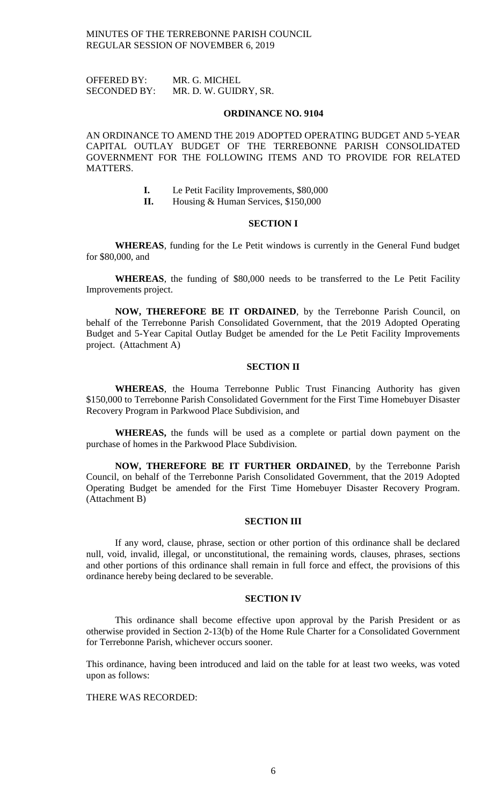OFFERED BY: MR. G. MICHEL SECONDED BY: MR. D. W. GUIDRY, SR.

#### **ORDINANCE NO. 9104**

AN ORDINANCE TO AMEND THE 2019 ADOPTED OPERATING BUDGET AND 5-YEAR CAPITAL OUTLAY BUDGET OF THE TERREBONNE PARISH CONSOLIDATED GOVERNMENT FOR THE FOLLOWING ITEMS AND TO PROVIDE FOR RELATED MATTERS.

- **I.** Le Petit Facility Improvements, \$80,000
- **II.** Housing & Human Services, \$150,000

### **SECTION I**

**WHEREAS**, funding for the Le Petit windows is currently in the General Fund budget for \$80,000, and

**WHEREAS**, the funding of \$80,000 needs to be transferred to the Le Petit Facility Improvements project.

**NOW, THEREFORE BE IT ORDAINED**, by the Terrebonne Parish Council, on behalf of the Terrebonne Parish Consolidated Government, that the 2019 Adopted Operating Budget and 5-Year Capital Outlay Budget be amended for the Le Petit Facility Improvements project. (Attachment A)

### **SECTION II**

**WHEREAS**, the Houma Terrebonne Public Trust Financing Authority has given \$150,000 to Terrebonne Parish Consolidated Government for the First Time Homebuyer Disaster Recovery Program in Parkwood Place Subdivision, and

**WHEREAS,** the funds will be used as a complete or partial down payment on the purchase of homes in the Parkwood Place Subdivision.

**NOW, THEREFORE BE IT FURTHER ORDAINED**, by the Terrebonne Parish Council, on behalf of the Terrebonne Parish Consolidated Government, that the 2019 Adopted Operating Budget be amended for the First Time Homebuyer Disaster Recovery Program. (Attachment B)

### **SECTION III**

If any word, clause, phrase, section or other portion of this ordinance shall be declared null, void, invalid, illegal, or unconstitutional, the remaining words, clauses, phrases, sections and other portions of this ordinance shall remain in full force and effect, the provisions of this ordinance hereby being declared to be severable.

### **SECTION IV**

This ordinance shall become effective upon approval by the Parish President or as otherwise provided in Section 2-13(b) of the Home Rule Charter for a Consolidated Government for Terrebonne Parish, whichever occurs sooner.

This ordinance, having been introduced and laid on the table for at least two weeks, was voted upon as follows:

## THERE WAS RECORDED: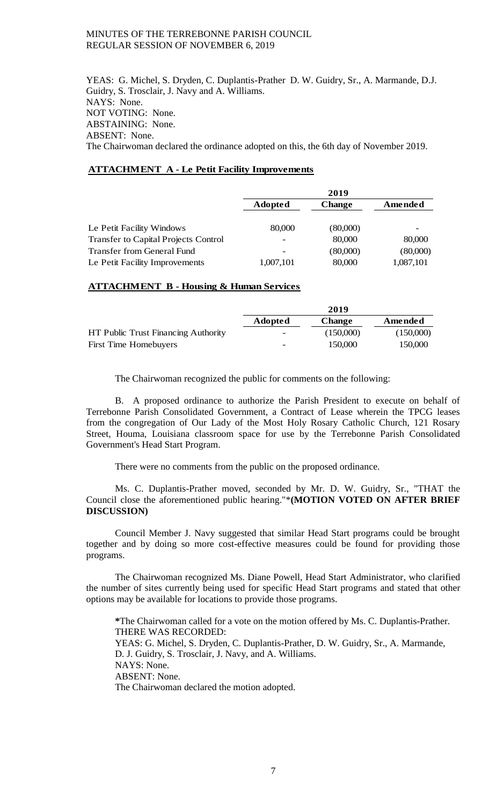YEAS: G. Michel, S. Dryden, C. Duplantis-Prather D. W. Guidry, Sr., A. Marmande, D.J. Guidry, S. Trosclair, J. Navy and A. Williams. NAYS: None. NOT VOTING: None. ABSTAINING: None. ABSENT: None. The Chairwoman declared the ordinance adopted on this, the 6th day of November 2019.

## **ATTACHMENT A - Le Petit Facility Improvements**

|                                             | 2019           |               |           |
|---------------------------------------------|----------------|---------------|-----------|
|                                             | <b>Adopted</b> | <b>Change</b> | Amended   |
| Le Petit Facility Windows                   | 80,000         | (80,000)      |           |
| <b>Transfer to Capital Projects Control</b> |                | 80,000        | 80,000    |
| <b>Transfer from General Fund</b>           |                | (80,000)      | (80,000)  |
| Le Petit Facility Improvements              | 1,007,101      | 80,000        | 1,087,101 |

### **ATTACHMENT B - Housing & Human Services**

|                                     | 2019                     |               |           |
|-------------------------------------|--------------------------|---------------|-----------|
|                                     | <b>Adopted</b>           | <b>Change</b> | Amended   |
| HT Public Trust Financing Authority | $\overline{\phantom{a}}$ | (150,000)     | (150,000) |
| <b>First Time Homebuyers</b>        | $\qquad \qquad$          | 150,000       | 150,000   |

The Chairwoman recognized the public for comments on the following:

B. A proposed ordinance to authorize the Parish President to execute on behalf of Terrebonne Parish Consolidated Government, a Contract of Lease wherein the TPCG leases from the congregation of Our Lady of the Most Holy Rosary Catholic Church, 121 Rosary Street, Houma, Louisiana classroom space for use by the Terrebonne Parish Consolidated Government's Head Start Program.

There were no comments from the public on the proposed ordinance.

Ms. C. Duplantis-Prather moved, seconded by Mr. D. W. Guidry, Sr., "THAT the Council close the aforementioned public hearing."\***(MOTION VOTED ON AFTER BRIEF DISCUSSION)**

Council Member J. Navy suggested that similar Head Start programs could be brought together and by doing so more cost-effective measures could be found for providing those programs.

The Chairwoman recognized Ms. Diane Powell, Head Start Administrator, who clarified the number of sites currently being used for specific Head Start programs and stated that other options may be available for locations to provide those programs.

**\***The Chairwoman called for a vote on the motion offered by Ms. C. Duplantis-Prather. THERE WAS RECORDED: YEAS: G. Michel, S. Dryden, C. Duplantis-Prather, D. W. Guidry, Sr., A. Marmande, D. J. Guidry, S. Trosclair, J. Navy, and A. Williams. NAYS: None. ABSENT: None. The Chairwoman declared the motion adopted.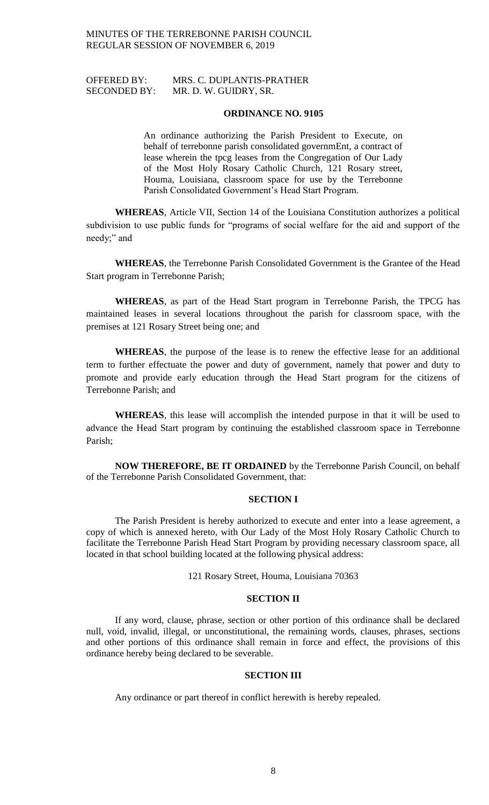## OFFERED BY: MRS. C. DUPLANTIS-PRATHER SECONDED BY: MR. D. W. GUIDRY, SR.

#### **ORDINANCE NO. 9105**

An ordinance authorizing the Parish President to Execute, on behalf of terrebonne parish consolidated governmEnt, a contract of lease wherein the tpcg leases from the Congregation of Our Lady of the Most Holy Rosary Catholic Church, 121 Rosary street, Houma, Louisiana, classroom space for use by the Terrebonne Parish Consolidated Government's Head Start Program.

**WHEREAS**, Article VII, Section 14 of the Louisiana Constitution authorizes a political subdivision to use public funds for "programs of social welfare for the aid and support of the needy;" and

**WHEREAS**, the Terrebonne Parish Consolidated Government is the Grantee of the Head Start program in Terrebonne Parish;

**WHEREAS**, as part of the Head Start program in Terrebonne Parish, the TPCG has maintained leases in several locations throughout the parish for classroom space, with the premises at 121 Rosary Street being one; and

**WHEREAS**, the purpose of the lease is to renew the effective lease for an additional term to further effectuate the power and duty of government, namely that power and duty to promote and provide early education through the Head Start program for the citizens of Terrebonne Parish; and

**WHEREAS**, this lease will accomplish the intended purpose in that it will be used to advance the Head Start program by continuing the established classroom space in Terrebonne Parish;

**NOW THEREFORE, BE IT ORDAINED** by the Terrebonne Parish Council, on behalf of the Terrebonne Parish Consolidated Government, that:

### **SECTION I**

The Parish President is hereby authorized to execute and enter into a lease agreement, a copy of which is annexed hereto, with Our Lady of the Most Holy Rosary Catholic Church to facilitate the Terrebonne Parish Head Start Program by providing necessary classroom space, all located in that school building located at the following physical address:

121 Rosary Street, Houma, Louisiana 70363

#### **SECTION II**

If any word, clause, phrase, section or other portion of this ordinance shall be declared null, void, invalid, illegal, or unconstitutional, the remaining words, clauses, phrases, sections and other portions of this ordinance shall remain in force and effect, the provisions of this ordinance hereby being declared to be severable.

#### **SECTION III**

Any ordinance or part thereof in conflict herewith is hereby repealed.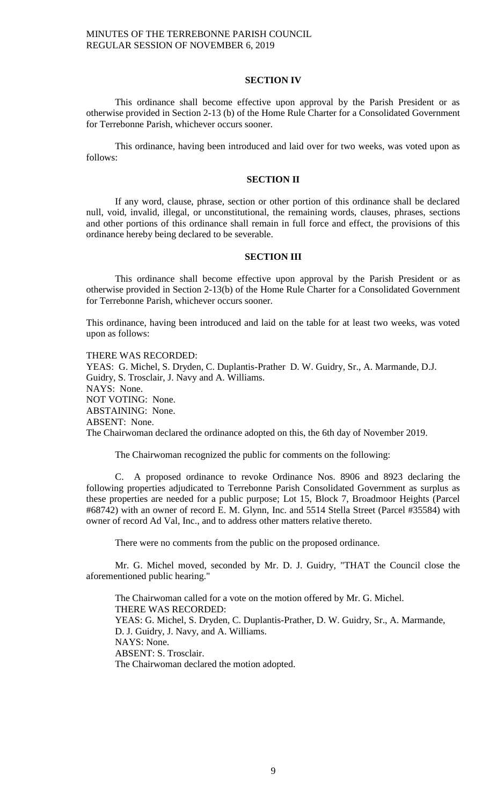### **SECTION IV**

This ordinance shall become effective upon approval by the Parish President or as otherwise provided in Section 2-13 (b) of the Home Rule Charter for a Consolidated Government for Terrebonne Parish, whichever occurs sooner.

This ordinance, having been introduced and laid over for two weeks, was voted upon as follows:

#### **SECTION II**

If any word, clause, phrase, section or other portion of this ordinance shall be declared null, void, invalid, illegal, or unconstitutional, the remaining words, clauses, phrases, sections and other portions of this ordinance shall remain in full force and effect, the provisions of this ordinance hereby being declared to be severable.

#### **SECTION III**

This ordinance shall become effective upon approval by the Parish President or as otherwise provided in Section 2-13(b) of the Home Rule Charter for a Consolidated Government for Terrebonne Parish, whichever occurs sooner.

This ordinance, having been introduced and laid on the table for at least two weeks, was voted upon as follows:

THERE WAS RECORDED: YEAS: G. Michel, S. Dryden, C. Duplantis-Prather D. W. Guidry, Sr., A. Marmande, D.J. Guidry, S. Trosclair, J. Navy and A. Williams. NAYS: None. NOT VOTING: None. ABSTAINING: None. ABSENT: None. The Chairwoman declared the ordinance adopted on this, the 6th day of November 2019.

The Chairwoman recognized the public for comments on the following:

C. A proposed ordinance to revoke Ordinance Nos. 8906 and 8923 declaring the following properties adjudicated to Terrebonne Parish Consolidated Government as surplus as these properties are needed for a public purpose; Lot 15, Block 7, Broadmoor Heights (Parcel #68742) with an owner of record E. M. Glynn, Inc. and 5514 Stella Street (Parcel #35584) with owner of record Ad Val, Inc., and to address other matters relative thereto.

There were no comments from the public on the proposed ordinance.

Mr. G. Michel moved, seconded by Mr. D. J. Guidry, "THAT the Council close the aforementioned public hearing."

The Chairwoman called for a vote on the motion offered by Mr. G. Michel. THERE WAS RECORDED: YEAS: G. Michel, S. Dryden, C. Duplantis-Prather, D. W. Guidry, Sr., A. Marmande, D. J. Guidry, J. Navy, and A. Williams. NAYS: None. ABSENT: S. Trosclair. The Chairwoman declared the motion adopted.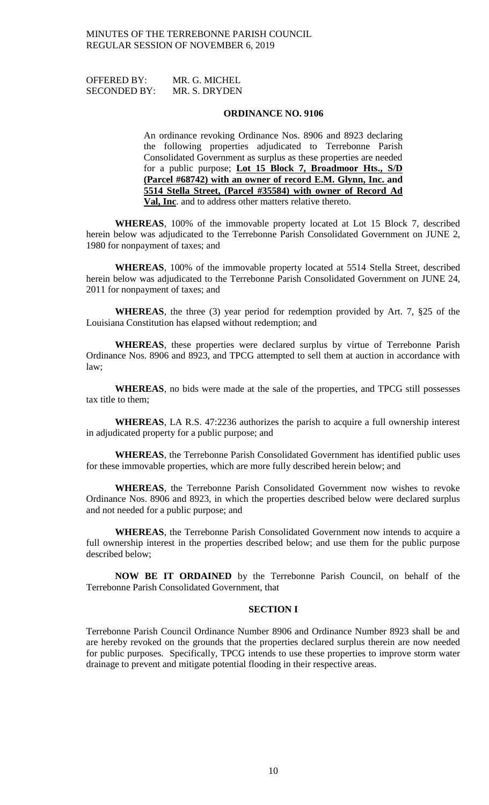| <b>OFFERED BY:</b>  | MR. G. MICHEL |
|---------------------|---------------|
| <b>SECONDED BY:</b> | MR. S. DRYDEN |

#### **ORDINANCE NO. 9106**

An ordinance revoking Ordinance Nos. 8906 and 8923 declaring the following properties adjudicated to Terrebonne Parish Consolidated Government as surplus as these properties are needed for a public purpose; **Lot 15 Block 7, Broadmoor Hts., S/D (Parcel #68742) with an owner of record E.M. Glynn, Inc. and 5514 Stella Street, (Parcel #35584) with owner of Record Ad Val, Inc**. and to address other matters relative thereto.

**WHEREAS**, 100% of the immovable property located at Lot 15 Block 7, described herein below was adjudicated to the Terrebonne Parish Consolidated Government on JUNE 2, 1980 for nonpayment of taxes; and

**WHEREAS**, 100% of the immovable property located at 5514 Stella Street, described herein below was adjudicated to the Terrebonne Parish Consolidated Government on JUNE 24, 2011 for nonpayment of taxes; and

**WHEREAS**, the three (3) year period for redemption provided by Art. 7, §25 of the Louisiana Constitution has elapsed without redemption; and

**WHEREAS**, these properties were declared surplus by virtue of Terrebonne Parish Ordinance Nos. 8906 and 8923, and TPCG attempted to sell them at auction in accordance with law;

**WHEREAS**, no bids were made at the sale of the properties, and TPCG still possesses tax title to them;

**WHEREAS**, LA R.S. 47:2236 authorizes the parish to acquire a full ownership interest in adjudicated property for a public purpose; and

**WHEREAS**, the Terrebonne Parish Consolidated Government has identified public uses for these immovable properties, which are more fully described herein below; and

**WHEREAS**, the Terrebonne Parish Consolidated Government now wishes to revoke Ordinance Nos. 8906 and 8923, in which the properties described below were declared surplus and not needed for a public purpose; and

**WHEREAS**, the Terrebonne Parish Consolidated Government now intends to acquire a full ownership interest in the properties described below; and use them for the public purpose described below;

**NOW BE IT ORDAINED** by the Terrebonne Parish Council, on behalf of the Terrebonne Parish Consolidated Government, that

### **SECTION I**

Terrebonne Parish Council Ordinance Number 8906 and Ordinance Number 8923 shall be and are hereby revoked on the grounds that the properties declared surplus therein are now needed for public purposes. Specifically, TPCG intends to use these properties to improve storm water drainage to prevent and mitigate potential flooding in their respective areas.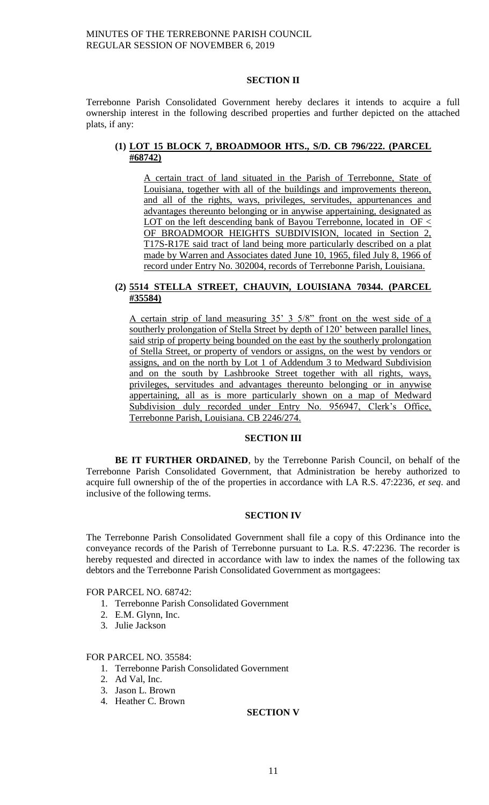## **SECTION II**

Terrebonne Parish Consolidated Government hereby declares it intends to acquire a full ownership interest in the following described properties and further depicted on the attached plats, if any:

## **(1) LOT 15 BLOCK 7, BROADMOOR HTS., S/D. CB 796/222. (PARCEL #68742)**

A certain tract of land situated in the Parish of Terrebonne, State of Louisiana, together with all of the buildings and improvements thereon, and all of the rights, ways, privileges, servitudes, appurtenances and advantages thereunto belonging or in anywise appertaining, designated as LOT on the left descending bank of Bayou Terrebonne, located in  $OF <$ OF BROADMOOR HEIGHTS SUBDIVISION, located in Section 2, T17S-R17E said tract of land being more particularly described on a plat made by Warren and Associates dated June 10, 1965, filed July 8, 1966 of record under Entry No. 302004, records of Terrebonne Parish, Louisiana.

## **(2) 5514 STELLA STREET, CHAUVIN, LOUISIANA 70344. (PARCEL #35584)**

A certain strip of land measuring 35' 3 5/8" front on the west side of a southerly prolongation of Stella Street by depth of 120' between parallel lines, said strip of property being bounded on the east by the southerly prolongation of Stella Street, or property of vendors or assigns, on the west by vendors or assigns, and on the north by Lot 1 of Addendum 3 to Medward Subdivision and on the south by Lashbrooke Street together with all rights, ways, privileges, servitudes and advantages thereunto belonging or in anywise appertaining, all as is more particularly shown on a map of Medward Subdivision duly recorded under Entry No. 956947, Clerk's Office, Terrebonne Parish, Louisiana. CB 2246/274.

### **SECTION III**

**BE IT FURTHER ORDAINED**, by the Terrebonne Parish Council, on behalf of the Terrebonne Parish Consolidated Government, that Administration be hereby authorized to acquire full ownership of the of the properties in accordance with LA R.S. 47:2236, *et seq*. and inclusive of the following terms.

### **SECTION IV**

The Terrebonne Parish Consolidated Government shall file a copy of this Ordinance into the conveyance records of the Parish of Terrebonne pursuant to La. R.S. 47:2236. The recorder is hereby requested and directed in accordance with law to index the names of the following tax debtors and the Terrebonne Parish Consolidated Government as mortgagees:

FOR PARCEL NO. 68742:

- 1. Terrebonne Parish Consolidated Government
- 2. E.M. Glynn, Inc.
- 3. Julie Jackson

### FOR PARCEL NO. 35584:

- 1. Terrebonne Parish Consolidated Government
- 2. Ad Val, Inc.
- 3. Jason L. Brown
- 4. Heather C. Brown

#### **SECTION V**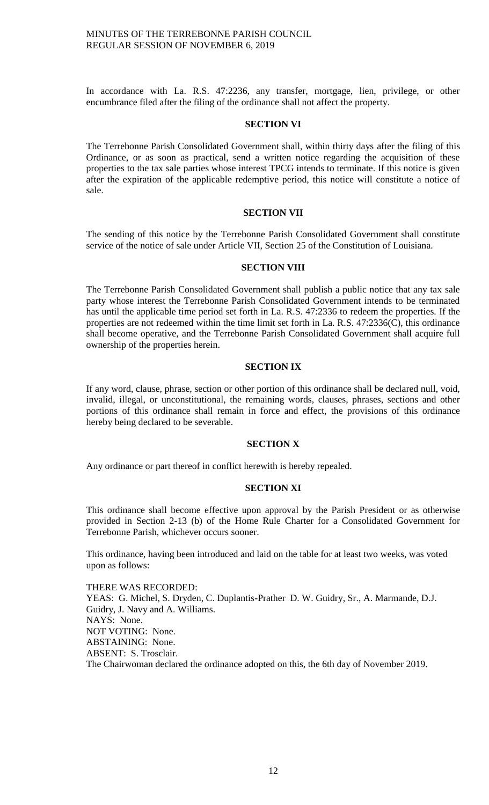In accordance with La. R.S. 47:2236, any transfer, mortgage, lien, privilege, or other encumbrance filed after the filing of the ordinance shall not affect the property.

## **SECTION VI**

The Terrebonne Parish Consolidated Government shall, within thirty days after the filing of this Ordinance, or as soon as practical, send a written notice regarding the acquisition of these properties to the tax sale parties whose interest TPCG intends to terminate. If this notice is given after the expiration of the applicable redemptive period, this notice will constitute a notice of sale.

### **SECTION VII**

The sending of this notice by the Terrebonne Parish Consolidated Government shall constitute service of the notice of sale under Article VII, Section 25 of the Constitution of Louisiana.

#### **SECTION VIII**

The Terrebonne Parish Consolidated Government shall publish a public notice that any tax sale party whose interest the Terrebonne Parish Consolidated Government intends to be terminated has until the applicable time period set forth in La. R.S. 47:2336 to redeem the properties. If the properties are not redeemed within the time limit set forth in La. R.S. 47:2336(C), this ordinance shall become operative, and the Terrebonne Parish Consolidated Government shall acquire full ownership of the properties herein.

### **SECTION IX**

If any word, clause, phrase, section or other portion of this ordinance shall be declared null, void, invalid, illegal, or unconstitutional, the remaining words, clauses, phrases, sections and other portions of this ordinance shall remain in force and effect, the provisions of this ordinance hereby being declared to be severable.

### **SECTION X**

Any ordinance or part thereof in conflict herewith is hereby repealed.

## **SECTION XI**

This ordinance shall become effective upon approval by the Parish President or as otherwise provided in Section 2-13 (b) of the Home Rule Charter for a Consolidated Government for Terrebonne Parish, whichever occurs sooner.

This ordinance, having been introduced and laid on the table for at least two weeks, was voted upon as follows:

THERE WAS RECORDED: YEAS: G. Michel, S. Dryden, C. Duplantis-Prather D. W. Guidry, Sr., A. Marmande, D.J. Guidry, J. Navy and A. Williams. NAYS: None. NOT VOTING: None. ABSTAINING: None. ABSENT: S. Trosclair. The Chairwoman declared the ordinance adopted on this, the 6th day of November 2019.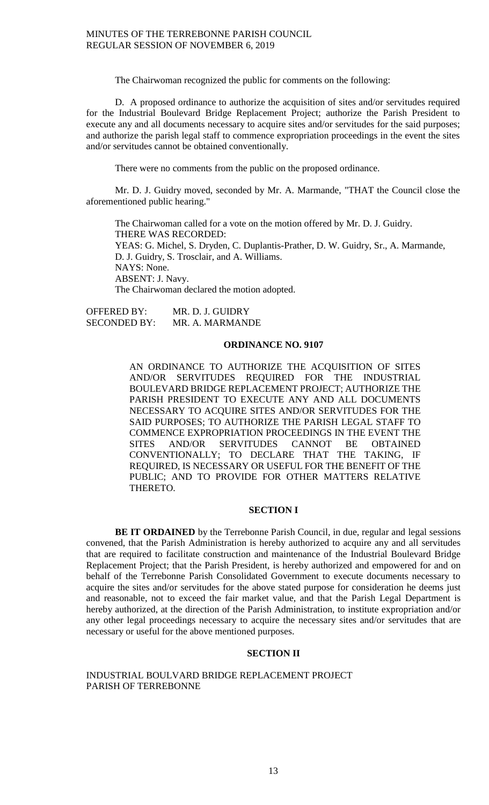The Chairwoman recognized the public for comments on the following:

D. A proposed ordinance to authorize the acquisition of sites and/or servitudes required for the Industrial Boulevard Bridge Replacement Project; authorize the Parish President to execute any and all documents necessary to acquire sites and/or servitudes for the said purposes; and authorize the parish legal staff to commence expropriation proceedings in the event the sites and/or servitudes cannot be obtained conventionally.

There were no comments from the public on the proposed ordinance.

Mr. D. J. Guidry moved, seconded by Mr. A. Marmande, "THAT the Council close the aforementioned public hearing."

The Chairwoman called for a vote on the motion offered by Mr. D. J. Guidry. THERE WAS RECORDED: YEAS: G. Michel, S. Dryden, C. Duplantis-Prather, D. W. Guidry, Sr., A. Marmande, D. J. Guidry, S. Trosclair, and A. Williams. NAYS: None. ABSENT: J. Navy. The Chairwoman declared the motion adopted.

OFFERED BY: MR. D. J. GUIDRY SECONDED BY: MR. A. MARMANDE

## **ORDINANCE NO. 9107**

AN ORDINANCE TO AUTHORIZE THE ACQUISITION OF SITES AND/OR SERVITUDES REQUIRED FOR THE INDUSTRIAL BOULEVARD BRIDGE REPLACEMENT PROJECT; AUTHORIZE THE PARISH PRESIDENT TO EXECUTE ANY AND ALL DOCUMENTS NECESSARY TO ACQUIRE SITES AND/OR SERVITUDES FOR THE SAID PURPOSES; TO AUTHORIZE THE PARISH LEGAL STAFF TO COMMENCE EXPROPRIATION PROCEEDINGS IN THE EVENT THE SITES AND/OR SERVITUDES CANNOT BE OBTAINED CONVENTIONALLY; TO DECLARE THAT THE TAKING, IF REQUIRED, IS NECESSARY OR USEFUL FOR THE BENEFIT OF THE PUBLIC; AND TO PROVIDE FOR OTHER MATTERS RELATIVE THERETO.

## **SECTION I**

BE IT ORDAINED by the Terrebonne Parish Council, in due, regular and legal sessions convened, that the Parish Administration is hereby authorized to acquire any and all servitudes that are required to facilitate construction and maintenance of the Industrial Boulevard Bridge Replacement Project; that the Parish President, is hereby authorized and empowered for and on behalf of the Terrebonne Parish Consolidated Government to execute documents necessary to acquire the sites and/or servitudes for the above stated purpose for consideration he deems just and reasonable, not to exceed the fair market value, and that the Parish Legal Department is hereby authorized, at the direction of the Parish Administration, to institute expropriation and/or any other legal proceedings necessary to acquire the necessary sites and/or servitudes that are necessary or useful for the above mentioned purposes.

## **SECTION II**

INDUSTRIAL BOULVARD BRIDGE REPLACEMENT PROJECT PARISH OF TERREBONNE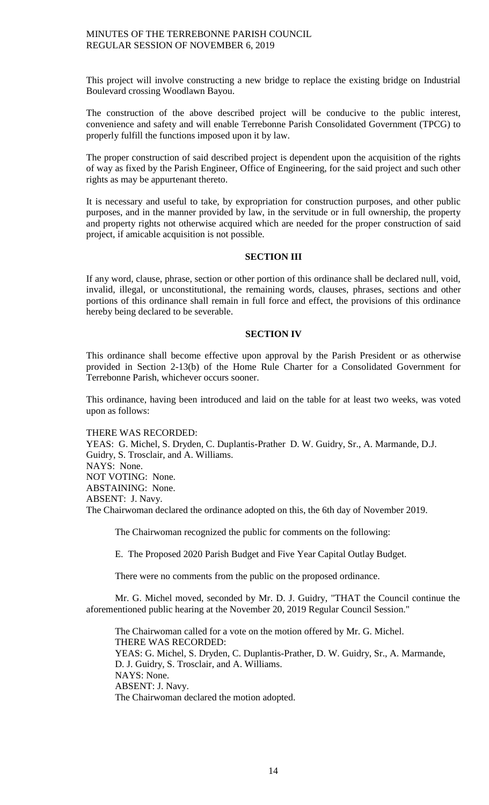This project will involve constructing a new bridge to replace the existing bridge on Industrial Boulevard crossing Woodlawn Bayou.

The construction of the above described project will be conducive to the public interest, convenience and safety and will enable Terrebonne Parish Consolidated Government (TPCG) to properly fulfill the functions imposed upon it by law.

The proper construction of said described project is dependent upon the acquisition of the rights of way as fixed by the Parish Engineer, Office of Engineering, for the said project and such other rights as may be appurtenant thereto.

It is necessary and useful to take, by expropriation for construction purposes, and other public purposes, and in the manner provided by law, in the servitude or in full ownership, the property and property rights not otherwise acquired which are needed for the proper construction of said project, if amicable acquisition is not possible.

## **SECTION III**

If any word, clause, phrase, section or other portion of this ordinance shall be declared null, void, invalid, illegal, or unconstitutional, the remaining words, clauses, phrases, sections and other portions of this ordinance shall remain in full force and effect, the provisions of this ordinance hereby being declared to be severable.

## **SECTION IV**

This ordinance shall become effective upon approval by the Parish President or as otherwise provided in Section 2-13(b) of the Home Rule Charter for a Consolidated Government for Terrebonne Parish, whichever occurs sooner.

This ordinance, having been introduced and laid on the table for at least two weeks, was voted upon as follows:

## THERE WAS RECORDED:

YEAS: G. Michel, S. Dryden, C. Duplantis-Prather D. W. Guidry, Sr., A. Marmande, D.J. Guidry, S. Trosclair, and A. Williams. NAYS: None. NOT VOTING: None. ABSTAINING: None. ABSENT: J. Navy. The Chairwoman declared the ordinance adopted on this, the 6th day of November 2019.

The Chairwoman recognized the public for comments on the following:

E. The Proposed 2020 Parish Budget and Five Year Capital Outlay Budget.

There were no comments from the public on the proposed ordinance.

Mr. G. Michel moved, seconded by Mr. D. J. Guidry, "THAT the Council continue the aforementioned public hearing at the November 20, 2019 Regular Council Session."

The Chairwoman called for a vote on the motion offered by Mr. G. Michel. THERE WAS RECORDED: YEAS: G. Michel, S. Dryden, C. Duplantis-Prather, D. W. Guidry, Sr., A. Marmande, D. J. Guidry, S. Trosclair, and A. Williams. NAYS: None. ABSENT: J. Navy. The Chairwoman declared the motion adopted.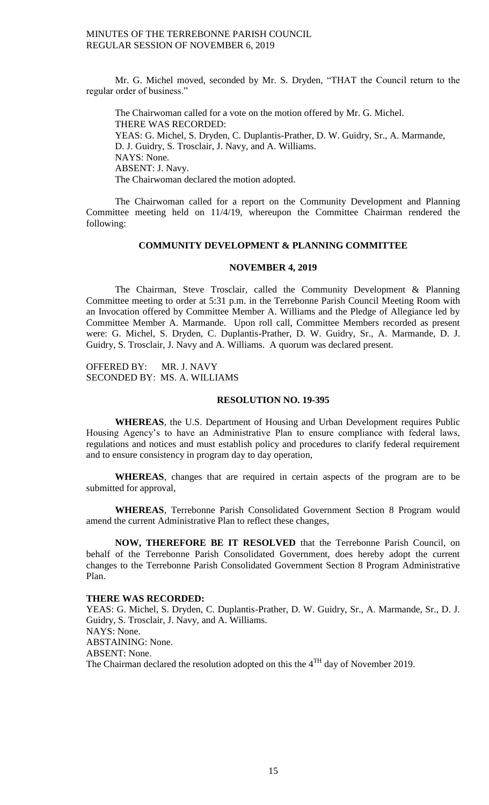Mr. G. Michel moved, seconded by Mr. S. Dryden, "THAT the Council return to the regular order of business."

The Chairwoman called for a vote on the motion offered by Mr. G. Michel. THERE WAS RECORDED: YEAS: G. Michel, S. Dryden, C. Duplantis-Prather, D. W. Guidry, Sr., A. Marmande, D. J. Guidry, S. Trosclair, J. Navy, and A. Williams. NAYS: None. ABSENT: J. Navy. The Chairwoman declared the motion adopted.

The Chairwoman called for a report on the Community Development and Planning Committee meeting held on 11/4/19, whereupon the Committee Chairman rendered the following:

#### **COMMUNITY DEVELOPMENT & PLANNING COMMITTEE**

#### **NOVEMBER 4, 2019**

The Chairman, Steve Trosclair, called the Community Development & Planning Committee meeting to order at 5:31 p.m. in the Terrebonne Parish Council Meeting Room with an Invocation offered by Committee Member A. Williams and the Pledge of Allegiance led by Committee Member A. Marmande. Upon roll call, Committee Members recorded as present were: G. Michel, S. Dryden, C. Duplantis-Prather, D. W. Guidry, Sr., A. Marmande, D. J. Guidry, S. Trosclair, J. Navy and A. Williams. A quorum was declared present.

OFFERED BY: MR. J. NAVY SECONDED BY: MS. A. WILLIAMS

#### **RESOLUTION NO. 19-395**

**WHEREAS**, the U.S. Department of Housing and Urban Development requires Public Housing Agency's to have an Administrative Plan to ensure compliance with federal laws, regulations and notices and must establish policy and procedures to clarify federal requirement and to ensure consistency in program day to day operation,

**WHEREAS**, changes that are required in certain aspects of the program are to be submitted for approval,

**WHEREAS**, Terrebonne Parish Consolidated Government Section 8 Program would amend the current Administrative Plan to reflect these changes,

**NOW, THEREFORE BE IT RESOLVED** that the Terrebonne Parish Council, on behalf of the Terrebonne Parish Consolidated Government, does hereby adopt the current changes to the Terrebonne Parish Consolidated Government Section 8 Program Administrative Plan.

## **THERE WAS RECORDED:**

YEAS: G. Michel, S. Dryden, C. Duplantis-Prather, D. W. Guidry, Sr., A. Marmande, Sr., D. J. Guidry, S. Trosclair, J. Navy, and A. Williams. NAYS: None. ABSTAINING: None. ABSENT: None. The Chairman declared the resolution adopted on this the  $4^{TH}$  day of November 2019.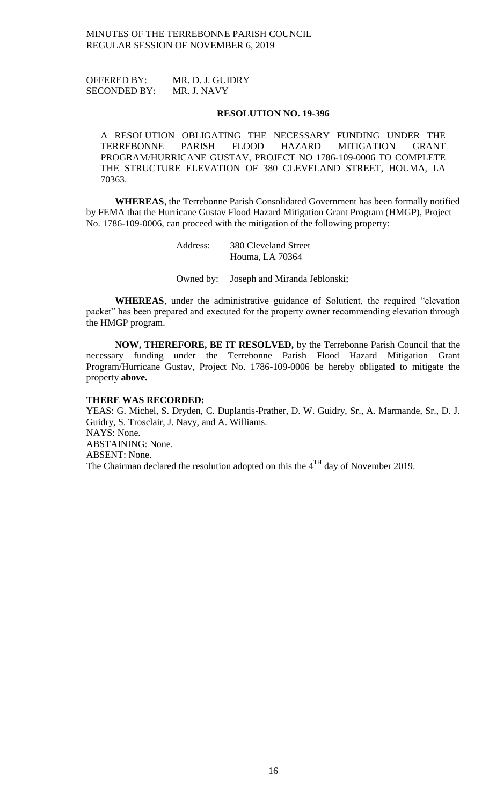OFFERED BY: MR. D. J. GUIDRY SECONDED BY: MR. J. NAVY

#### **RESOLUTION NO. 19-396**

A RESOLUTION OBLIGATING THE NECESSARY FUNDING UNDER THE TERREBONNE PARISH FLOOD HAZARD MITIGATION GRANT PROGRAM/HURRICANE GUSTAV, PROJECT NO 1786-109-0006 TO COMPLETE THE STRUCTURE ELEVATION OF 380 CLEVELAND STREET, HOUMA, LA 70363.

**WHEREAS**, the Terrebonne Parish Consolidated Government has been formally notified by FEMA that the Hurricane Gustav Flood Hazard Mitigation Grant Program (HMGP), Project No. 1786-109-0006, can proceed with the mitigation of the following property:

> Address: 380 Cleveland Street Houma, LA 70364

Owned by: Joseph and Miranda Jeblonski;

**WHEREAS**, under the administrative guidance of Solutient, the required "elevation packet" has been prepared and executed for the property owner recommending elevation through the HMGP program.

**NOW, THEREFORE, BE IT RESOLVED,** by the Terrebonne Parish Council that the necessary funding under the Terrebonne Parish Flood Hazard Mitigation Grant Program/Hurricane Gustav, Project No. 1786-109-0006 be hereby obligated to mitigate the property **above.**

#### **THERE WAS RECORDED:**

YEAS: G. Michel, S. Dryden, C. Duplantis-Prather, D. W. Guidry, Sr., A. Marmande, Sr., D. J. Guidry, S. Trosclair, J. Navy, and A. Williams. NAYS: None. ABSTAINING: None. ABSENT: None. The Chairman declared the resolution adopted on this the  $4^{TH}$  day of November 2019.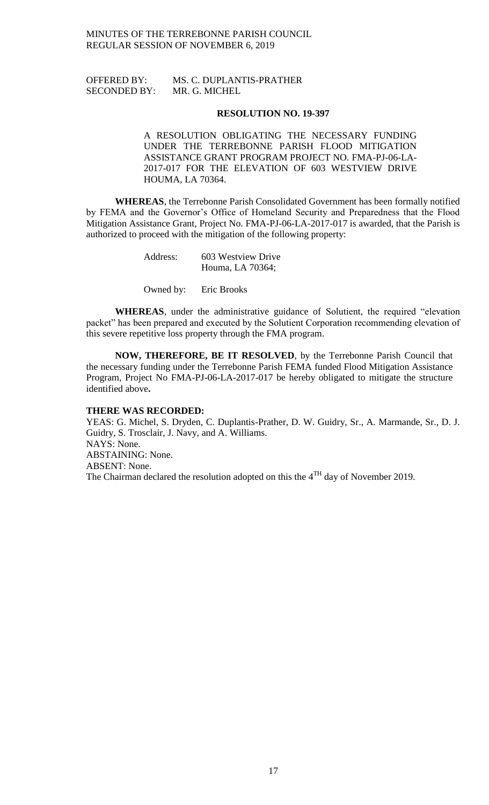## OFFERED BY: MS. C. DUPLANTIS-PRATHER SECONDED BY: MR. G. MICHEL

### **RESOLUTION NO. 19-397**

A RESOLUTION OBLIGATING THE NECESSARY FUNDING UNDER THE TERREBONNE PARISH FLOOD MITIGATION ASSISTANCE GRANT PROGRAM PROJECT NO. FMA-PJ-06-LA-2017-017 FOR THE ELEVATION OF 603 WESTVIEW DRIVE HOUMA, LA 70364.

**WHEREAS**, the Terrebonne Parish Consolidated Government has been formally notified by FEMA and the Governor's Office of Homeland Security and Preparedness that the Flood Mitigation Assistance Grant, Project No. FMA-PJ-06-LA-2017-017 is awarded, that the Parish is authorized to proceed with the mitigation of the following property:

| Address: | 603 Westview Drive |
|----------|--------------------|
|          | Houma, LA 70364;   |

Owned by: Eric Brooks

**WHEREAS**, under the administrative guidance of Solutient, the required "elevation packet" has been prepared and executed by the Solutient Corporation recommending elevation of this severe repetitive loss property through the FMA program.

**NOW, THEREFORE, BE IT RESOLVED**, by the Terrebonne Parish Council that the necessary funding under the Terrebonne Parish FEMA funded Flood Mitigation Assistance Program, Project No FMA-PJ-06-LA-2017-017 be hereby obligated to mitigate the structure identified above**.**

#### **THERE WAS RECORDED:**

YEAS: G. Michel, S. Dryden, C. Duplantis-Prather, D. W. Guidry, Sr., A. Marmande, Sr., D. J. Guidry, S. Trosclair, J. Navy, and A. Williams. NAYS: None. ABSTAINING: None. ABSENT: None. The Chairman declared the resolution adopted on this the  $4<sup>TH</sup>$  day of November 2019.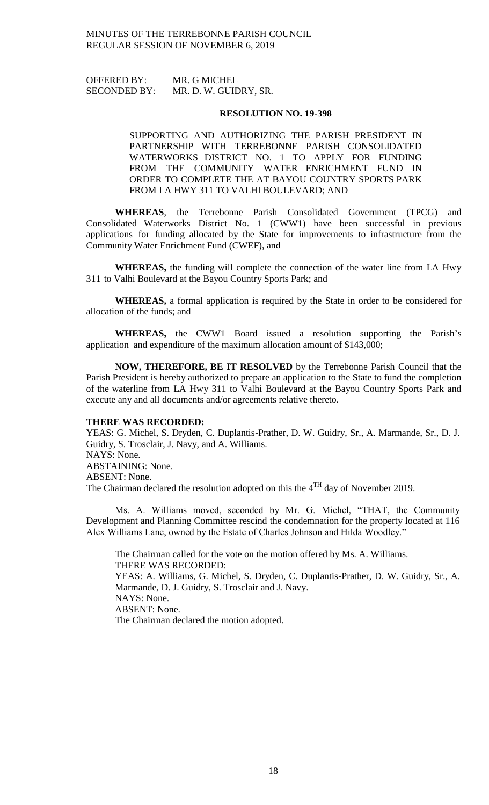OFFERED BY: MR. G MICHEL SECONDED BY: MR. D. W. GUIDRY, SR.

#### **RESOLUTION NO. 19-398**

SUPPORTING AND AUTHORIZING THE PARISH PRESIDENT IN PARTNERSHIP WITH TERREBONNE PARISH CONSOLIDATED WATERWORKS DISTRICT NO. 1 TO APPLY FOR FUNDING FROM THE COMMUNITY WATER ENRICHMENT FUND IN ORDER TO COMPLETE THE AT BAYOU COUNTRY SPORTS PARK FROM LA HWY 311 TO VALHI BOULEVARD; AND

**WHEREAS**, the Terrebonne Parish Consolidated Government (TPCG) and Consolidated Waterworks District No. 1 (CWW1) have been successful in previous applications for funding allocated by the State for improvements to infrastructure from the Community Water Enrichment Fund (CWEF), and

**WHEREAS,** the funding will complete the connection of the water line from LA Hwy 311 to Valhi Boulevard at the Bayou Country Sports Park; and

**WHEREAS,** a formal application is required by the State in order to be considered for allocation of the funds; and

**WHEREAS,** the CWW1 Board issued a resolution supporting the Parish's application and expenditure of the maximum allocation amount of \$143,000;

**NOW, THEREFORE, BE IT RESOLVED** by the Terrebonne Parish Council that the Parish President is hereby authorized to prepare an application to the State to fund the completion of the waterline from LA Hwy 311 to Valhi Boulevard at the Bayou Country Sports Park and execute any and all documents and/or agreements relative thereto.

### **THERE WAS RECORDED:**

YEAS: G. Michel, S. Dryden, C. Duplantis-Prather, D. W. Guidry, Sr., A. Marmande, Sr., D. J. Guidry, S. Trosclair, J. Navy, and A. Williams. NAYS: None. ABSTAINING: None. ABSENT: None. The Chairman declared the resolution adopted on this the  $4<sup>TH</sup>$  day of November 2019.

Ms. A. Williams moved, seconded by Mr. G. Michel, "THAT, the Community Development and Planning Committee rescind the condemnation for the property located at 116 Alex Williams Lane, owned by the Estate of Charles Johnson and Hilda Woodley."

The Chairman called for the vote on the motion offered by Ms. A. Williams. THERE WAS RECORDED: YEAS: A. Williams, G. Michel, S. Dryden, C. Duplantis-Prather, D. W. Guidry, Sr., A. Marmande, D. J. Guidry, S. Trosclair and J. Navy. NAYS: None. ABSENT: None. The Chairman declared the motion adopted.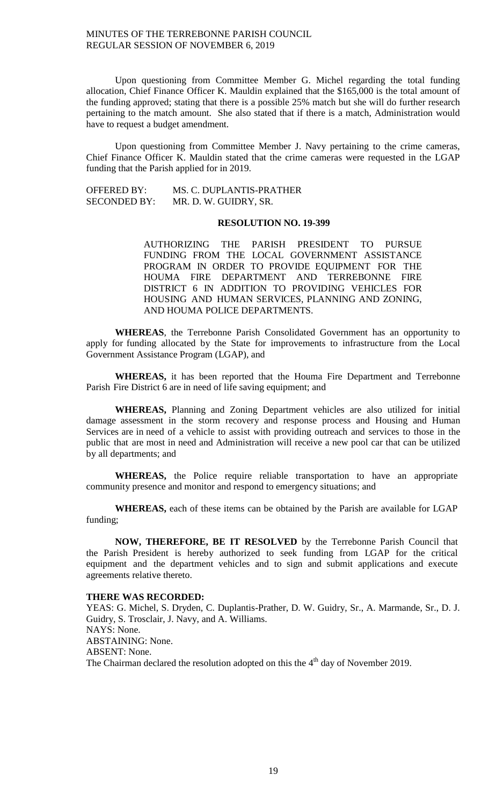Upon questioning from Committee Member G. Michel regarding the total funding allocation, Chief Finance Officer K. Mauldin explained that the \$165,000 is the total amount of the funding approved; stating that there is a possible 25% match but she will do further research pertaining to the match amount. She also stated that if there is a match, Administration would have to request a budget amendment.

Upon questioning from Committee Member J. Navy pertaining to the crime cameras, Chief Finance Officer K. Mauldin stated that the crime cameras were requested in the LGAP funding that the Parish applied for in 2019.

OFFERED BY: MS. C. DUPLANTIS-PRATHER SECONDED BY: MR. D. W. GUIDRY, SR.

#### **RESOLUTION NO. 19-399**

AUTHORIZING THE PARISH PRESIDENT TO PURSUE FUNDING FROM THE LOCAL GOVERNMENT ASSISTANCE PROGRAM IN ORDER TO PROVIDE EQUIPMENT FOR THE HOUMA FIRE DEPARTMENT AND TERREBONNE FIRE DISTRICT 6 IN ADDITION TO PROVIDING VEHICLES FOR HOUSING AND HUMAN SERVICES, PLANNING AND ZONING, AND HOUMA POLICE DEPARTMENTS.

**WHEREAS**, the Terrebonne Parish Consolidated Government has an opportunity to apply for funding allocated by the State for improvements to infrastructure from the Local Government Assistance Program (LGAP), and

**WHEREAS,** it has been reported that the Houma Fire Department and Terrebonne Parish Fire District 6 are in need of life saving equipment; and

**WHEREAS,** Planning and Zoning Department vehicles are also utilized for initial damage assessment in the storm recovery and response process and Housing and Human Services are in need of a vehicle to assist with providing outreach and services to those in the public that are most in need and Administration will receive a new pool car that can be utilized by all departments; and

**WHEREAS,** the Police require reliable transportation to have an appropriate community presence and monitor and respond to emergency situations; and

**WHEREAS,** each of these items can be obtained by the Parish are available for LGAP funding;

**NOW, THEREFORE, BE IT RESOLVED** by the Terrebonne Parish Council that the Parish President is hereby authorized to seek funding from LGAP for the critical equipment and the department vehicles and to sign and submit applications and execute agreements relative thereto.

#### **THERE WAS RECORDED:**

YEAS: G. Michel, S. Dryden, C. Duplantis-Prather, D. W. Guidry, Sr., A. Marmande, Sr., D. J. Guidry, S. Trosclair, J. Navy, and A. Williams. NAYS: None. ABSTAINING: None. ABSENT: None. The Chairman declared the resolution adopted on this the  $4<sup>th</sup>$  day of November 2019.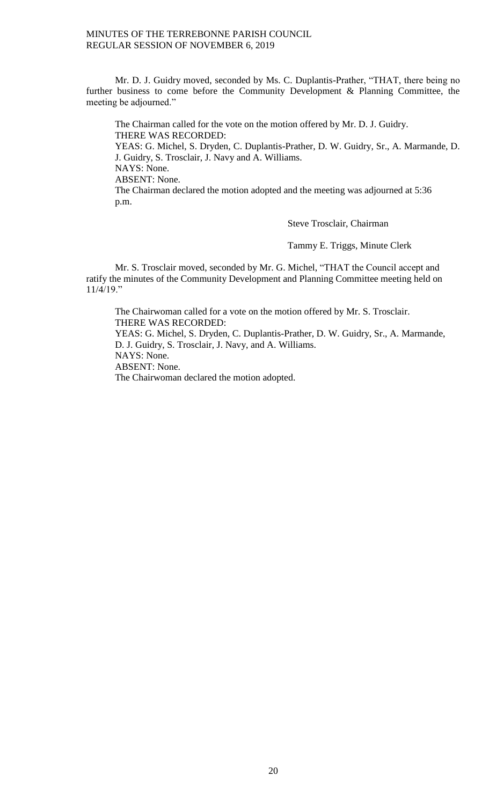Mr. D. J. Guidry moved, seconded by Ms. C. Duplantis-Prather, "THAT, there being no further business to come before the Community Development & Planning Committee, the meeting be adjourned."

The Chairman called for the vote on the motion offered by Mr. D. J. Guidry. THERE WAS RECORDED: YEAS: G. Michel, S. Dryden, C. Duplantis-Prather, D. W. Guidry, Sr., A. Marmande, D. J. Guidry, S. Trosclair, J. Navy and A. Williams. NAYS: None. ABSENT: None. The Chairman declared the motion adopted and the meeting was adjourned at 5:36 p.m.

Steve Trosclair, Chairman

Tammy E. Triggs, Minute Clerk

Mr. S. Trosclair moved, seconded by Mr. G. Michel, "THAT the Council accept and ratify the minutes of the Community Development and Planning Committee meeting held on 11/4/19."

The Chairwoman called for a vote on the motion offered by Mr. S. Trosclair. THERE WAS RECORDED: YEAS: G. Michel, S. Dryden, C. Duplantis-Prather, D. W. Guidry, Sr., A. Marmande, D. J. Guidry, S. Trosclair, J. Navy, and A. Williams. NAYS: None. ABSENT: None. The Chairwoman declared the motion adopted.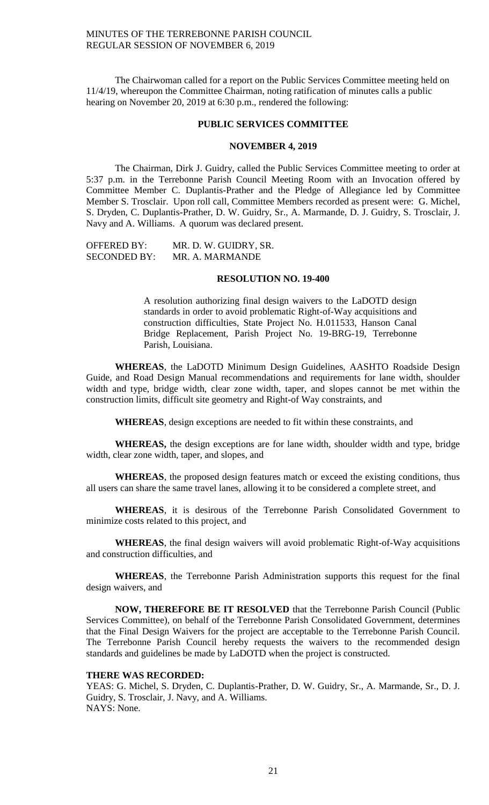The Chairwoman called for a report on the Public Services Committee meeting held on 11/4/19, whereupon the Committee Chairman, noting ratification of minutes calls a public hearing on November 20, 2019 at 6:30 p.m., rendered the following:

#### **PUBLIC SERVICES COMMITTEE**

#### **NOVEMBER 4, 2019**

The Chairman, Dirk J. Guidry, called the Public Services Committee meeting to order at 5:37 p.m. in the Terrebonne Parish Council Meeting Room with an Invocation offered by Committee Member C. Duplantis-Prather and the Pledge of Allegiance led by Committee Member S. Trosclair. Upon roll call, Committee Members recorded as present were: G. Michel, S. Dryden, C. Duplantis-Prather, D. W. Guidry, Sr., A. Marmande, D. J. Guidry, S. Trosclair, J. Navy and A. Williams. A quorum was declared present.

| <b>OFFERED BY:</b>  | MR. D. W. GUIDRY, SR. |
|---------------------|-----------------------|
| <b>SECONDED BY:</b> | MR. A. MARMANDE       |

#### **RESOLUTION NO. 19-400**

A resolution authorizing final design waivers to the LaDOTD design standards in order to avoid problematic Right-of-Way acquisitions and construction difficulties, State Project No. H.011533, Hanson Canal Bridge Replacement, Parish Project No. 19-BRG-19, Terrebonne Parish, Louisiana.

**WHEREAS**, the LaDOTD Minimum Design Guidelines, AASHTO Roadside Design Guide, and Road Design Manual recommendations and requirements for lane width, shoulder width and type, bridge width, clear zone width, taper, and slopes cannot be met within the construction limits, difficult site geometry and Right-of Way constraints, and

**WHEREAS**, design exceptions are needed to fit within these constraints, and

**WHEREAS,** the design exceptions are for lane width, shoulder width and type, bridge width, clear zone width, taper, and slopes, and

**WHEREAS**, the proposed design features match or exceed the existing conditions, thus all users can share the same travel lanes, allowing it to be considered a complete street, and

**WHEREAS**, it is desirous of the Terrebonne Parish Consolidated Government to minimize costs related to this project, and

**WHEREAS**, the final design waivers will avoid problematic Right-of-Way acquisitions and construction difficulties, and

**WHEREAS**, the Terrebonne Parish Administration supports this request for the final design waivers, and

**NOW, THEREFORE BE IT RESOLVED** that the Terrebonne Parish Council (Public Services Committee), on behalf of the Terrebonne Parish Consolidated Government, determines that the Final Design Waivers for the project are acceptable to the Terrebonne Parish Council. The Terrebonne Parish Council hereby requests the waivers to the recommended design standards and guidelines be made by LaDOTD when the project is constructed.

#### **THERE WAS RECORDED:**

YEAS: G. Michel, S. Dryden, C. Duplantis-Prather, D. W. Guidry, Sr., A. Marmande, Sr., D. J. Guidry, S. Trosclair, J. Navy, and A. Williams. NAYS: None.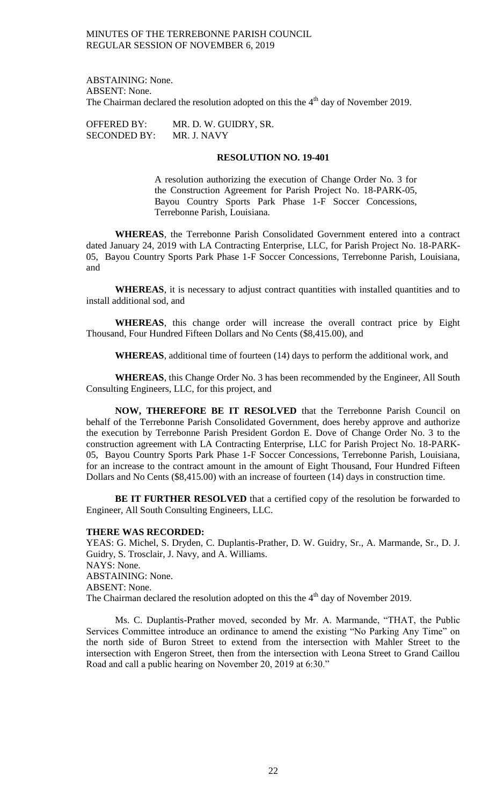ABSTAINING: None. ABSENT: None. The Chairman declared the resolution adopted on this the  $4<sup>th</sup>$  day of November 2019.

OFFERED BY: MR. D. W. GUIDRY, SR.<br>SECONDED BY: MR. J. NAVY SECONDED BY:

#### **RESOLUTION NO. 19-401**

A resolution authorizing the execution of Change Order No. 3 for the Construction Agreement for Parish Project No. 18-PARK-05, Bayou Country Sports Park Phase 1-F Soccer Concessions, Terrebonne Parish, Louisiana.

**WHEREAS**, the Terrebonne Parish Consolidated Government entered into a contract dated January 24, 2019 with LA Contracting Enterprise, LLC, for Parish Project No. 18-PARK-05, Bayou Country Sports Park Phase 1-F Soccer Concessions, Terrebonne Parish, Louisiana, and

**WHEREAS**, it is necessary to adjust contract quantities with installed quantities and to install additional sod, and

**WHEREAS**, this change order will increase the overall contract price by Eight Thousand, Four Hundred Fifteen Dollars and No Cents (\$8,415.00), and

**WHEREAS**, additional time of fourteen (14) days to perform the additional work, and

**WHEREAS**, this Change Order No. 3 has been recommended by the Engineer, All South Consulting Engineers, LLC, for this project, and

**NOW, THEREFORE BE IT RESOLVED** that the Terrebonne Parish Council on behalf of the Terrebonne Parish Consolidated Government, does hereby approve and authorize the execution by Terrebonne Parish President Gordon E. Dove of Change Order No. 3 to the construction agreement with LA Contracting Enterprise, LLC for Parish Project No. 18-PARK-05, Bayou Country Sports Park Phase 1-F Soccer Concessions, Terrebonne Parish, Louisiana, for an increase to the contract amount in the amount of Eight Thousand, Four Hundred Fifteen Dollars and No Cents (\$8,415.00) with an increase of fourteen (14) days in construction time.

**BE IT FURTHER RESOLVED** that a certified copy of the resolution be forwarded to Engineer, All South Consulting Engineers, LLC.

#### **THERE WAS RECORDED:**

YEAS: G. Michel, S. Dryden, C. Duplantis-Prather, D. W. Guidry, Sr., A. Marmande, Sr., D. J. Guidry, S. Trosclair, J. Navy, and A. Williams. NAYS: None. ABSTAINING: None. ABSENT: None. The Chairman declared the resolution adopted on this the  $4<sup>th</sup>$  day of November 2019.

Ms. C. Duplantis-Prather moved, seconded by Mr. A. Marmande, "THAT, the Public Services Committee introduce an ordinance to amend the existing "No Parking Any Time" on the north side of Buron Street to extend from the intersection with Mahler Street to the intersection with Engeron Street, then from the intersection with Leona Street to Grand Caillou Road and call a public hearing on November 20, 2019 at 6:30."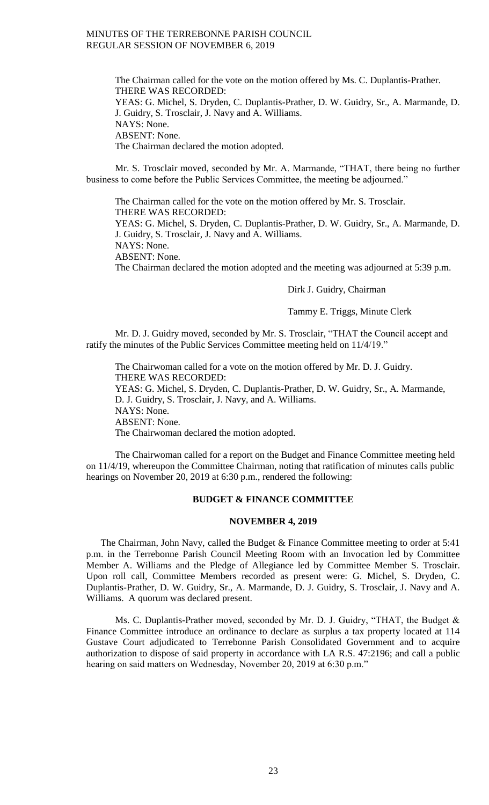The Chairman called for the vote on the motion offered by Ms. C. Duplantis-Prather. THERE WAS RECORDED: YEAS: G. Michel, S. Dryden, C. Duplantis-Prather, D. W. Guidry, Sr., A. Marmande, D. J. Guidry, S. Trosclair, J. Navy and A. Williams. NAYS: None. ABSENT: None. The Chairman declared the motion adopted.

Mr. S. Trosclair moved, seconded by Mr. A. Marmande, "THAT, there being no further business to come before the Public Services Committee, the meeting be adjourned."

The Chairman called for the vote on the motion offered by Mr. S. Trosclair. THERE WAS RECORDED:

YEAS: G. Michel, S. Dryden, C. Duplantis-Prather, D. W. Guidry, Sr., A. Marmande, D. J. Guidry, S. Trosclair, J. Navy and A. Williams.

NAYS: None.

ABSENT: None.

The Chairman declared the motion adopted and the meeting was adjourned at 5:39 p.m.

Dirk J. Guidry, Chairman

Tammy E. Triggs, Minute Clerk

Mr. D. J. Guidry moved, seconded by Mr. S. Trosclair, "THAT the Council accept and ratify the minutes of the Public Services Committee meeting held on 11/4/19."

The Chairwoman called for a vote on the motion offered by Mr. D. J. Guidry. THERE WAS RECORDED: YEAS: G. Michel, S. Dryden, C. Duplantis-Prather, D. W. Guidry, Sr., A. Marmande, D. J. Guidry, S. Trosclair, J. Navy, and A. Williams. NAYS: None. ABSENT: None. The Chairwoman declared the motion adopted.

The Chairwoman called for a report on the Budget and Finance Committee meeting held on 11/4/19, whereupon the Committee Chairman, noting that ratification of minutes calls public hearings on November 20, 2019 at 6:30 p.m., rendered the following:

#### **BUDGET & FINANCE COMMITTEE**

### **NOVEMBER 4, 2019**

The Chairman, John Navy, called the Budget & Finance Committee meeting to order at 5:41 p.m. in the Terrebonne Parish Council Meeting Room with an Invocation led by Committee Member A. Williams and the Pledge of Allegiance led by Committee Member S. Trosclair. Upon roll call, Committee Members recorded as present were: G. Michel, S. Dryden, C. Duplantis-Prather, D. W. Guidry, Sr., A. Marmande, D. J. Guidry, S. Trosclair, J. Navy and A. Williams. A quorum was declared present.

Ms. C. Duplantis-Prather moved, seconded by Mr. D. J. Guidry, "THAT, the Budget & Finance Committee introduce an ordinance to declare as surplus a tax property located at 114 Gustave Court adjudicated to Terrebonne Parish Consolidated Government and to acquire authorization to dispose of said property in accordance with LA R.S. 47:2196; and call a public hearing on said matters on Wednesday, November 20, 2019 at 6:30 p.m."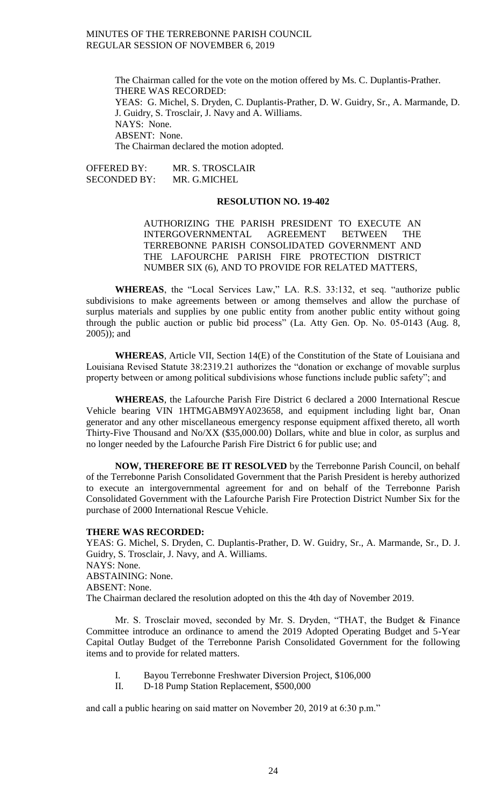The Chairman called for the vote on the motion offered by Ms. C. Duplantis-Prather. THERE WAS RECORDED: YEAS: G. Michel, S. Dryden, C. Duplantis-Prather, D. W. Guidry, Sr., A. Marmande, D. J. Guidry, S. Trosclair, J. Navy and A. Williams. NAYS: None. ABSENT: None. The Chairman declared the motion adopted.

OFFERED BY: MR. S. TROSCLAIR SECONDED BY: MR. G.MICHEL

### **RESOLUTION NO. 19-402**

AUTHORIZING THE PARISH PRESIDENT TO EXECUTE AN INTERGOVERNMENTAL AGREEMENT BETWEEN THE TERREBONNE PARISH CONSOLIDATED GOVERNMENT AND THE LAFOURCHE PARISH FIRE PROTECTION DISTRICT NUMBER SIX (6), AND TO PROVIDE FOR RELATED MATTERS,

**WHEREAS**, the "Local Services Law," LA. R.S. 33:132, et seq. "authorize public subdivisions to make agreements between or among themselves and allow the purchase of surplus materials and supplies by one public entity from another public entity without going through the public auction or public bid process" (La. Atty Gen. Op. No. 05-0143 (Aug. 8, 2005)); and

**WHEREAS**, Article VII, Section 14(E) of the Constitution of the State of Louisiana and Louisiana Revised Statute 38:2319.21 authorizes the "donation or exchange of movable surplus property between or among political subdivisions whose functions include public safety"; and

**WHEREAS**, the Lafourche Parish Fire District 6 declared a 2000 International Rescue Vehicle bearing VIN 1HTMGABM9YA023658, and equipment including light bar, Onan generator and any other miscellaneous emergency response equipment affixed thereto, all worth Thirty-Five Thousand and No/XX (\$35,000.00) Dollars, white and blue in color, as surplus and no longer needed by the Lafourche Parish Fire District 6 for public use; and

**NOW, THEREFORE BE IT RESOLVED** by the Terrebonne Parish Council, on behalf of the Terrebonne Parish Consolidated Government that the Parish President is hereby authorized to execute an intergovernmental agreement for and on behalf of the Terrebonne Parish Consolidated Government with the Lafourche Parish Fire Protection District Number Six for the purchase of 2000 International Rescue Vehicle.

#### **THERE WAS RECORDED:**

YEAS: G. Michel, S. Dryden, C. Duplantis-Prather, D. W. Guidry, Sr., A. Marmande, Sr., D. J. Guidry, S. Trosclair, J. Navy, and A. Williams. NAYS: None. ABSTAINING: None. ABSENT: None. The Chairman declared the resolution adopted on this the 4th day of November 2019.

Mr. S. Trosclair moved, seconded by Mr. S. Dryden, "THAT, the Budget & Finance Committee introduce an ordinance to amend the 2019 Adopted Operating Budget and 5-Year Capital Outlay Budget of the Terrebonne Parish Consolidated Government for the following items and to provide for related matters.

- I. Bayou Terrebonne Freshwater Diversion Project, \$106,000
- II. D-18 Pump Station Replacement, \$500,000

and call a public hearing on said matter on November 20, 2019 at 6:30 p.m."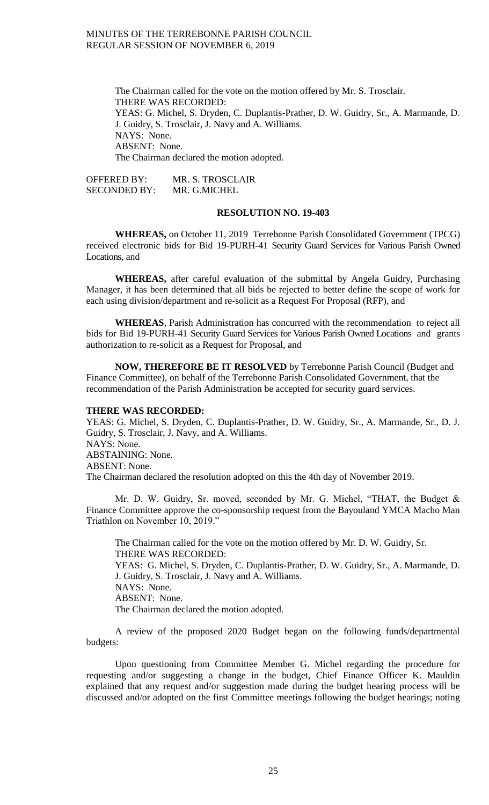The Chairman called for the vote on the motion offered by Mr. S. Trosclair. THERE WAS RECORDED: YEAS: G. Michel, S. Dryden, C. Duplantis-Prather, D. W. Guidry, Sr., A. Marmande, D. J. Guidry, S. Trosclair, J. Navy and A. Williams. NAYS: None. ABSENT: None. The Chairman declared the motion adopted.

OFFERED BY: MR. S. TROSCLAIR SECONDED BY: MR. G.MICHEL

#### **RESOLUTION NO. 19-403**

**WHEREAS,** on October 11, 2019 Terrebonne Parish Consolidated Government (TPCG) received electronic bids for Bid 19-PURH-41 Security Guard Services for Various Parish Owned Locations, and

**WHEREAS,** after careful evaluation of the submittal by Angela Guidry, Purchasing Manager, it has been determined that all bids be rejected to better define the scope of work for each using division/department and re-solicit as a Request For Proposal (RFP), and

**WHEREAS**, Parish Administration has concurred with the recommendation to reject all bids for Bid 19-PURH-41 Security Guard Services for Various Parish Owned Locations and grants authorization to re-solicit as a Request for Proposal, and

**NOW, THEREFORE BE IT RESOLVED** by Terrebonne Parish Council (Budget and Finance Committee), on behalf of the Terrebonne Parish Consolidated Government, that the recommendation of the Parish Administration be accepted for security guard services.

#### **THERE WAS RECORDED:**

YEAS: G. Michel, S. Dryden, C. Duplantis-Prather, D. W. Guidry, Sr., A. Marmande, Sr., D. J. Guidry, S. Trosclair, J. Navy, and A. Williams. NAYS: None. ABSTAINING: None. ABSENT: None. The Chairman declared the resolution adopted on this the 4th day of November 2019.

Mr. D. W. Guidry, Sr. moved, seconded by Mr. G. Michel, "THAT, the Budget & Finance Committee approve the co-sponsorship request from the Bayouland YMCA Macho Man Triathlon on November 10, 2019."

The Chairman called for the vote on the motion offered by Mr. D. W. Guidry, Sr. THERE WAS RECORDED: YEAS: G. Michel, S. Dryden, C. Duplantis-Prather, D. W. Guidry, Sr., A. Marmande, D. J. Guidry, S. Trosclair, J. Navy and A. Williams. NAYS: None. ABSENT: None. The Chairman declared the motion adopted.

A review of the proposed 2020 Budget began on the following funds/departmental budgets:

Upon questioning from Committee Member G. Michel regarding the procedure for requesting and/or suggesting a change in the budget, Chief Finance Officer K. Mauldin explained that any request and/or suggestion made during the budget hearing process will be discussed and/or adopted on the first Committee meetings following the budget hearings; noting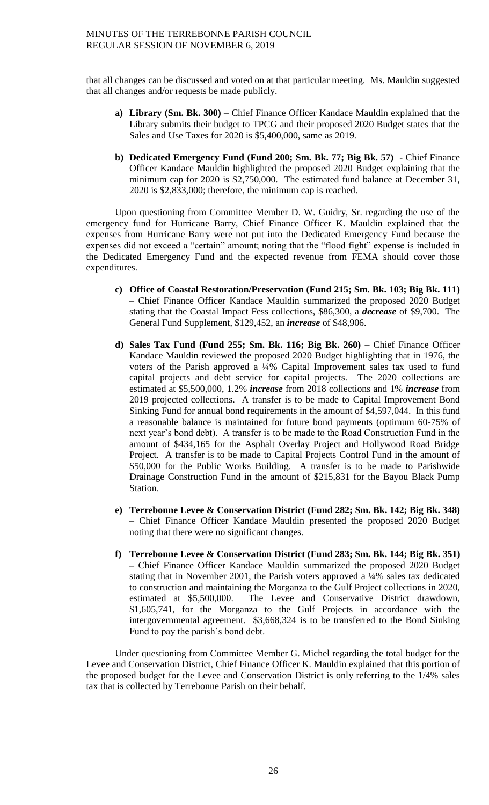that all changes can be discussed and voted on at that particular meeting. Ms. Mauldin suggested that all changes and/or requests be made publicly.

- **a) Library (Sm. Bk. 300) –** Chief Finance Officer Kandace Mauldin explained that the Library submits their budget to TPCG and their proposed 2020 Budget states that the Sales and Use Taxes for 2020 is \$5,400,000, same as 2019.
- **b) Dedicated Emergency Fund (Fund 200; Sm. Bk. 77; Big Bk. 57) -** Chief Finance Officer Kandace Mauldin highlighted the proposed 2020 Budget explaining that the minimum cap for 2020 is \$2,750,000. The estimated fund balance at December 31, 2020 is \$2,833,000; therefore, the minimum cap is reached.

Upon questioning from Committee Member D. W. Guidry, Sr. regarding the use of the emergency fund for Hurricane Barry, Chief Finance Officer K. Mauldin explained that the expenses from Hurricane Barry were not put into the Dedicated Emergency Fund because the expenses did not exceed a "certain" amount; noting that the "flood fight" expense is included in the Dedicated Emergency Fund and the expected revenue from FEMA should cover those expenditures.

- **c) Office of Coastal Restoration/Preservation (Fund 215; Sm. Bk. 103; Big Bk. 111) –** Chief Finance Officer Kandace Mauldin summarized the proposed 2020 Budget stating that the Coastal Impact Fess collections, \$86,300, a *decrease* of \$9,700. The General Fund Supplement, \$129,452, an *increase* of \$48,906.
- **d) Sales Tax Fund (Fund 255; Sm. Bk. 116; Big Bk. 260) –** Chief Finance Officer Kandace Mauldin reviewed the proposed 2020 Budget highlighting that in 1976, the voters of the Parish approved a ¼% Capital Improvement sales tax used to fund capital projects and debt service for capital projects. The 2020 collections are estimated at \$5,500,000, 1.2% *increase* from 2018 collections and 1% *increase* from 2019 projected collections. A transfer is to be made to Capital Improvement Bond Sinking Fund for annual bond requirements in the amount of \$4,597,044. In this fund a reasonable balance is maintained for future bond payments (optimum 60-75% of next year's bond debt). A transfer is to be made to the Road Construction Fund in the amount of \$434,165 for the Asphalt Overlay Project and Hollywood Road Bridge Project. A transfer is to be made to Capital Projects Control Fund in the amount of \$50,000 for the Public Works Building. A transfer is to be made to Parishwide Drainage Construction Fund in the amount of \$215,831 for the Bayou Black Pump Station.
- **e) Terrebonne Levee & Conservation District (Fund 282; Sm. Bk. 142; Big Bk. 348) –** Chief Finance Officer Kandace Mauldin presented the proposed 2020 Budget noting that there were no significant changes.
- **f) Terrebonne Levee & Conservation District (Fund 283; Sm. Bk. 144; Big Bk. 351) –** Chief Finance Officer Kandace Mauldin summarized the proposed 2020 Budget stating that in November 2001, the Parish voters approved a ¼% sales tax dedicated to construction and maintaining the Morganza to the Gulf Project collections in 2020, estimated at \$5,500,000. The Levee and Conservative District drawdown, \$1,605,741, for the Morganza to the Gulf Projects in accordance with the intergovernmental agreement. \$3,668,324 is to be transferred to the Bond Sinking Fund to pay the parish's bond debt.

Under questioning from Committee Member G. Michel regarding the total budget for the Levee and Conservation District, Chief Finance Officer K. Mauldin explained that this portion of the proposed budget for the Levee and Conservation District is only referring to the 1/4% sales tax that is collected by Terrebonne Parish on their behalf.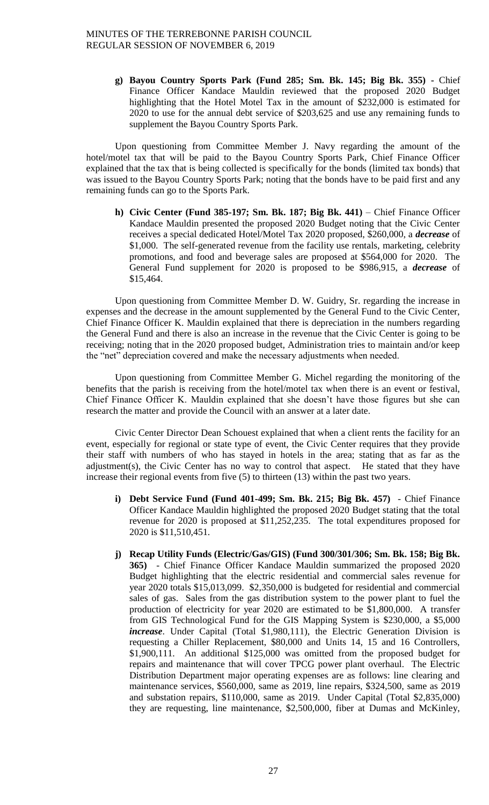**g) Bayou Country Sports Park (Fund 285; Sm. Bk. 145; Big Bk. 355) -** Chief Finance Officer Kandace Mauldin reviewed that the proposed 2020 Budget highlighting that the Hotel Motel Tax in the amount of \$232,000 is estimated for 2020 to use for the annual debt service of \$203,625 and use any remaining funds to supplement the Bayou Country Sports Park.

Upon questioning from Committee Member J. Navy regarding the amount of the hotel/motel tax that will be paid to the Bayou Country Sports Park, Chief Finance Officer explained that the tax that is being collected is specifically for the bonds (limited tax bonds) that was issued to the Bayou Country Sports Park; noting that the bonds have to be paid first and any remaining funds can go to the Sports Park.

**h) Civic Center (Fund 385-197; Sm. Bk. 187; Big Bk. 441)** – Chief Finance Officer Kandace Mauldin presented the proposed 2020 Budget noting that the Civic Center receives a special dedicated Hotel/Motel Tax 2020 proposed, \$260,000, a *decrease* of \$1,000. The self-generated revenue from the facility use rentals, marketing, celebrity promotions, and food and beverage sales are proposed at \$564,000 for 2020. The General Fund supplement for 2020 is proposed to be \$986,915, a *decrease* of \$15,464.

Upon questioning from Committee Member D. W. Guidry, Sr. regarding the increase in expenses and the decrease in the amount supplemented by the General Fund to the Civic Center, Chief Finance Officer K. Mauldin explained that there is depreciation in the numbers regarding the General Fund and there is also an increase in the revenue that the Civic Center is going to be receiving; noting that in the 2020 proposed budget, Administration tries to maintain and/or keep the "net" depreciation covered and make the necessary adjustments when needed.

Upon questioning from Committee Member G. Michel regarding the monitoring of the benefits that the parish is receiving from the hotel/motel tax when there is an event or festival, Chief Finance Officer K. Mauldin explained that she doesn't have those figures but she can research the matter and provide the Council with an answer at a later date.

Civic Center Director Dean Schouest explained that when a client rents the facility for an event, especially for regional or state type of event, the Civic Center requires that they provide their staff with numbers of who has stayed in hotels in the area; stating that as far as the adjustment(s), the Civic Center has no way to control that aspect. He stated that they have increase their regional events from five (5) to thirteen (13) within the past two years.

- **i) Debt Service Fund (Fund 401-499; Sm. Bk. 215; Big Bk. 457)**  Chief Finance Officer Kandace Mauldin highlighted the proposed 2020 Budget stating that the total revenue for 2020 is proposed at \$11,252,235. The total expenditures proposed for 2020 is \$11,510,451.
- **j) Recap Utility Funds (Electric/Gas/GIS) (Fund 300/301/306; Sm. Bk. 158; Big Bk. 365)** - Chief Finance Officer Kandace Mauldin summarized the proposed 2020 Budget highlighting that the electric residential and commercial sales revenue for year 2020 totals \$15,013,099. \$2,350,000 is budgeted for residential and commercial sales of gas. Sales from the gas distribution system to the power plant to fuel the production of electricity for year 2020 are estimated to be \$1,800,000. A transfer from GIS Technological Fund for the GIS Mapping System is \$230,000, a \$5,000 *increase*. Under Capital (Total \$1,980,111), the Electric Generation Division is requesting a Chiller Replacement, \$80,000 and Units 14, 15 and 16 Controllers, \$1,900,111. An additional \$125,000 was omitted from the proposed budget for repairs and maintenance that will cover TPCG power plant overhaul. The Electric Distribution Department major operating expenses are as follows: line clearing and maintenance services, \$560,000, same as 2019, line repairs, \$324,500, same as 2019 and substation repairs, \$110,000, same as 2019. Under Capital (Total \$2,835,000) they are requesting, line maintenance, \$2,500,000, fiber at Dumas and McKinley,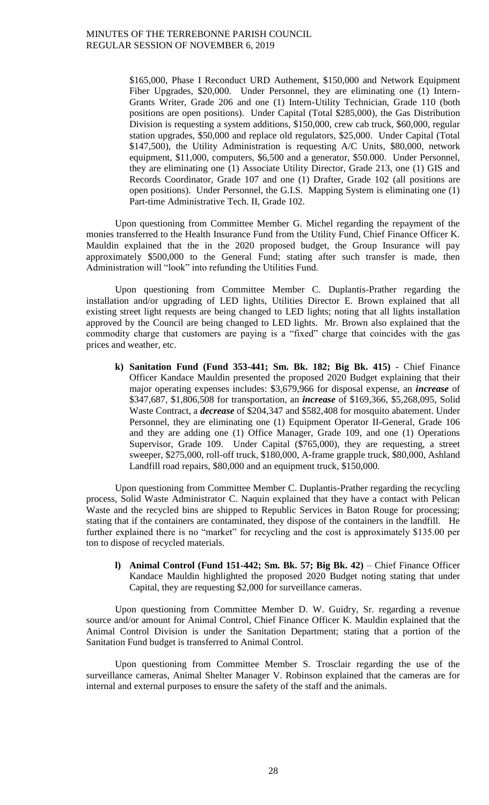\$165,000, Phase I Reconduct URD Authement, \$150,000 and Network Equipment Fiber Upgrades, \$20,000. Under Personnel, they are eliminating one (1) Intern-Grants Writer, Grade 206 and one (1) Intern-Utility Technician, Grade 110 (both positions are open positions). Under Capital (Total \$285,000), the Gas Distribution Division is requesting a system additions, \$150,000, crew cab truck, \$60,000, regular station upgrades, \$50,000 and replace old regulators, \$25,000. Under Capital (Total \$147,500), the Utility Administration is requesting A/C Units, \$80,000, network equipment, \$11,000, computers, \$6,500 and a generator, \$50.000. Under Personnel, they are eliminating one (1) Associate Utility Director, Grade 213, one (1) GIS and Records Coordinator, Grade 107 and one (1) Drafter, Grade 102 (all positions are open positions). Under Personnel, the G.I.S. Mapping System is eliminating one (1) Part-time Administrative Tech. II, Grade 102.

Upon questioning from Committee Member G. Michel regarding the repayment of the monies transferred to the Health Insurance Fund from the Utility Fund, Chief Finance Officer K. Mauldin explained that the in the 2020 proposed budget, the Group Insurance will pay approximately \$500,000 to the General Fund; stating after such transfer is made, then Administration will "look" into refunding the Utilities Fund.

Upon questioning from Committee Member C. Duplantis-Prather regarding the installation and/or upgrading of LED lights, Utilities Director E. Brown explained that all existing street light requests are being changed to LED lights; noting that all lights installation approved by the Council are being changed to LED lights. Mr. Brown also explained that the commodity charge that customers are paying is a "fixed" charge that coincides with the gas prices and weather, etc.

**k) Sanitation Fund (Fund 353-441; Sm. Bk. 182; Big Bk. 415)** - Chief Finance Officer Kandace Mauldin presented the proposed 2020 Budget explaining that their major operating expenses includes: \$3,679,966 for disposal expense, an *increase* of \$347,687, \$1,806,508 for transportation, an *increase* of \$169,366, \$5,268,095, Solid Waste Contract, a *decrease* of \$204,347 and \$582,408 for mosquito abatement. Under Personnel, they are eliminating one (1) Equipment Operator II-General, Grade 106 and they are adding one (1) Office Manager, Grade 109, and one (1) Operations Supervisor, Grade 109. Under Capital (\$765,000), they are requesting, a street sweeper, \$275,000, roll-off truck, \$180,000, A-frame grapple truck, \$80,000, Ashland Landfill road repairs, \$80,000 and an equipment truck, \$150,000.

Upon questioning from Committee Member C. Duplantis-Prather regarding the recycling process, Solid Waste Administrator C. Naquin explained that they have a contact with Pelican Waste and the recycled bins are shipped to Republic Services in Baton Rouge for processing; stating that if the containers are contaminated, they dispose of the containers in the landfill. He further explained there is no "market" for recycling and the cost is approximately \$135.00 per ton to dispose of recycled materials.

**l) Animal Control (Fund 151-442; Sm. Bk. 57; Big Bk. 42)** – Chief Finance Officer Kandace Mauldin highlighted the proposed 2020 Budget noting stating that under Capital, they are requesting \$2,000 for surveillance cameras.

Upon questioning from Committee Member D. W. Guidry, Sr. regarding a revenue source and/or amount for Animal Control, Chief Finance Officer K. Mauldin explained that the Animal Control Division is under the Sanitation Department; stating that a portion of the Sanitation Fund budget is transferred to Animal Control.

Upon questioning from Committee Member S. Trosclair regarding the use of the surveillance cameras, Animal Shelter Manager V. Robinson explained that the cameras are for internal and external purposes to ensure the safety of the staff and the animals.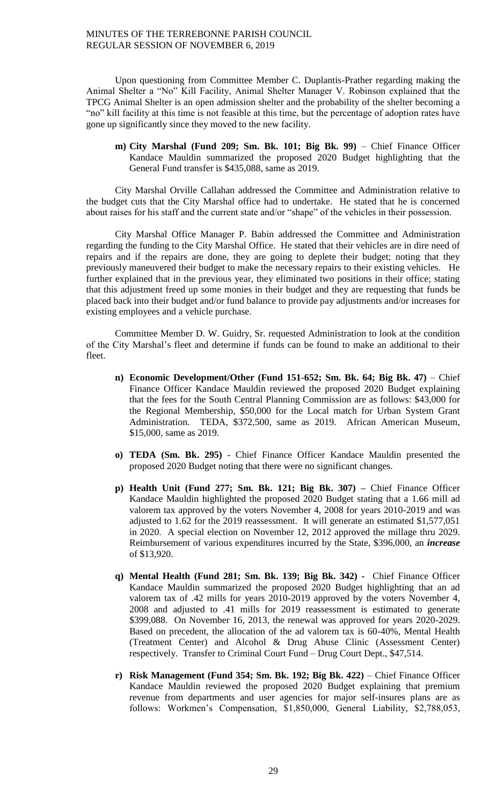Upon questioning from Committee Member C. Duplantis-Prather regarding making the Animal Shelter a "No" Kill Facility, Animal Shelter Manager V. Robinson explained that the TPCG Animal Shelter is an open admission shelter and the probability of the shelter becoming a "no" kill facility at this time is not feasible at this time, but the percentage of adoption rates have gone up significantly since they moved to the new facility.

**m) City Marshal (Fund 209; Sm. Bk. 101; Big Bk. 99)** – Chief Finance Officer Kandace Mauldin summarized the proposed 2020 Budget highlighting that the General Fund transfer is \$435,088, same as 2019.

City Marshal Orville Callahan addressed the Committee and Administration relative to the budget cuts that the City Marshal office had to undertake. He stated that he is concerned about raises for his staff and the current state and/or "shape" of the vehicles in their possession.

City Marshal Office Manager P. Babin addressed the Committee and Administration regarding the funding to the City Marshal Office. He stated that their vehicles are in dire need of repairs and if the repairs are done, they are going to deplete their budget; noting that they previously maneuvered their budget to make the necessary repairs to their existing vehicles. He further explained that in the previous year, they eliminated two positions in their office; stating that this adjustment freed up some monies in their budget and they are requesting that funds be placed back into their budget and/or fund balance to provide pay adjustments and/or increases for existing employees and a vehicle purchase.

Committee Member D. W. Guidry, Sr. requested Administration to look at the condition of the City Marshal's fleet and determine if funds can be found to make an additional to their fleet.

- **n) Economic Development/Other (Fund 151-652; Sm. Bk. 64; Big Bk. 47)** Chief Finance Officer Kandace Mauldin reviewed the proposed 2020 Budget explaining that the fees for the South Central Planning Commission are as follows: \$43,000 for the Regional Membership, \$50,000 for the Local match for Urban System Grant Administration. TEDA, \$372,500, same as 2019. African American Museum, \$15,000, same as 2019.
- **o) TEDA (Sm. Bk. 295)**  Chief Finance Officer Kandace Mauldin presented the proposed 2020 Budget noting that there were no significant changes.
- **p) Health Unit (Fund 277; Sm. Bk. 121; Big Bk. 307) –** Chief Finance Officer Kandace Mauldin highlighted the proposed 2020 Budget stating that a 1.66 mill ad valorem tax approved by the voters November 4, 2008 for years 2010-2019 and was adjusted to 1.62 for the 2019 reassessment. It will generate an estimated \$1,577,051 in 2020. A special election on November 12, 2012 approved the millage thru 2029. Reimbursement of various expenditures incurred by the State, \$396,000, an *increase*  of \$13,920.
- **q) Mental Health (Fund 281; Sm. Bk. 139; Big Bk. 342) -** Chief Finance Officer Kandace Mauldin summarized the proposed 2020 Budget highlighting that an ad valorem tax of .42 mills for years 2010-2019 approved by the voters November 4, 2008 and adjusted to .41 mills for 2019 reassessment is estimated to generate \$399,088. On November 16, 2013, the renewal was approved for years 2020-2029. Based on precedent, the allocation of the ad valorem tax is 60-40%, Mental Health (Treatment Center) and Alcohol & Drug Abuse Clinic (Assessment Center) respectively. Transfer to Criminal Court Fund – Drug Court Dept., \$47,514.
- **r) Risk Management (Fund 354; Sm. Bk. 192; Big Bk. 422)** Chief Finance Officer Kandace Mauldin reviewed the proposed 2020 Budget explaining that premium revenue from departments and user agencies for major self-insures plans are as follows: Workmen's Compensation, \$1,850,000, General Liability, \$2,788,053,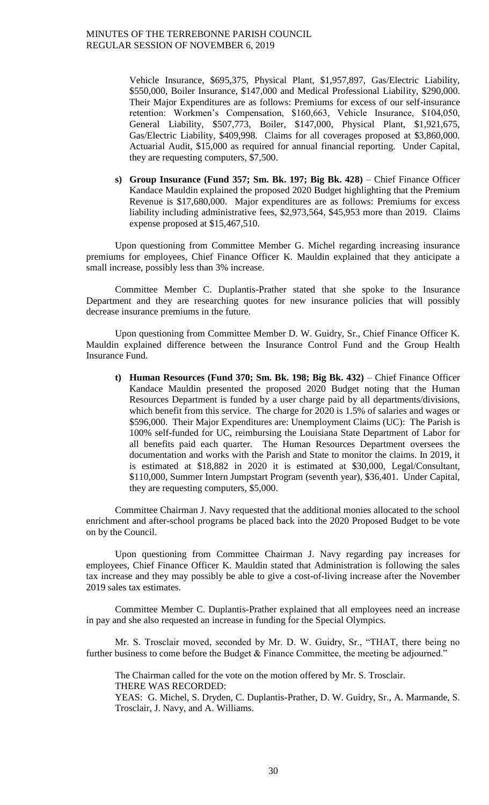Vehicle Insurance, \$695,375, Physical Plant, \$1,957,897, Gas/Electric Liability, \$550,000, Boiler Insurance, \$147,000 and Medical Professional Liability, \$290,000. Their Major Expenditures are as follows: Premiums for excess of our self-insurance retention: Workmen's Compensation, \$160,663, Vehicle Insurance, \$104,050, General Liability, \$507,773, Boiler, \$147,000, Physical Plant, \$1,921,675, Gas/Electric Liability, \$409,998. Claims for all coverages proposed at \$3,860,000. Actuarial Audit, \$15,000 as required for annual financial reporting. Under Capital, they are requesting computers, \$7,500.

**s) Group Insurance (Fund 357; Sm. Bk. 197; Big Bk. 428)** – Chief Finance Officer Kandace Mauldin explained the proposed 2020 Budget highlighting that the Premium Revenue is \$17,680,000. Major expenditures are as follows: Premiums for excess liability including administrative fees, \$2,973,564, \$45,953 more than 2019. Claims expense proposed at \$15,467,510.

Upon questioning from Committee Member G. Michel regarding increasing insurance premiums for employees, Chief Finance Officer K. Mauldin explained that they anticipate a small increase, possibly less than 3% increase.

Committee Member C. Duplantis-Prather stated that she spoke to the Insurance Department and they are researching quotes for new insurance policies that will possibly decrease insurance premiums in the future.

Upon questioning from Committee Member D. W. Guidry, Sr., Chief Finance Officer K. Mauldin explained difference between the Insurance Control Fund and the Group Health Insurance Fund.

**t) Human Resources (Fund 370; Sm. Bk. 198; Big Bk. 432)** – Chief Finance Officer Kandace Mauldin presented the proposed 2020 Budget noting that the Human Resources Department is funded by a user charge paid by all departments/divisions, which benefit from this service. The charge for 2020 is 1.5% of salaries and wages or \$596,000. Their Major Expenditures are: Unemployment Claims (UC): The Parish is 100% self-funded for UC, reimbursing the Louisiana State Department of Labor for all benefits paid each quarter. The Human Resources Department oversees the documentation and works with the Parish and State to monitor the claims. In 2019, it is estimated at \$18,882 in 2020 it is estimated at \$30,000, Legal/Consultant, \$110,000, Summer Intern Jumpstart Program (seventh year), \$36,401. Under Capital, they are requesting computers, \$5,000.

Committee Chairman J. Navy requested that the additional monies allocated to the school enrichment and after-school programs be placed back into the 2020 Proposed Budget to be vote on by the Council.

Upon questioning from Committee Chairman J. Navy regarding pay increases for employees, Chief Finance Officer K. Mauldin stated that Administration is following the sales tax increase and they may possibly be able to give a cost-of-living increase after the November 2019 sales tax estimates.

Committee Member C. Duplantis-Prather explained that all employees need an increase in pay and she also requested an increase in funding for the Special Olympics.

Mr. S. Trosclair moved, seconded by Mr. D. W. Guidry, Sr., "THAT, there being no further business to come before the Budget & Finance Committee, the meeting be adjourned."

The Chairman called for the vote on the motion offered by Mr. S. Trosclair. THERE WAS RECORDED:

YEAS: G. Michel, S. Dryden, C. Duplantis-Prather, D. W. Guidry, Sr., A. Marmande, S. Trosclair, J. Navy, and A. Williams.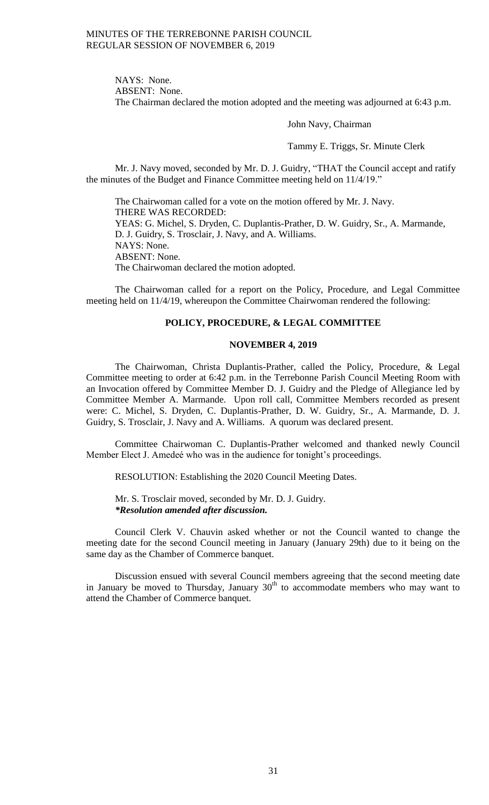NAYS: None. ABSENT: None. The Chairman declared the motion adopted and the meeting was adjourned at 6:43 p.m.

John Navy, Chairman

Tammy E. Triggs, Sr. Minute Clerk

Mr. J. Navy moved, seconded by Mr. D. J. Guidry, "THAT the Council accept and ratify the minutes of the Budget and Finance Committee meeting held on 11/4/19."

The Chairwoman called for a vote on the motion offered by Mr. J. Navy. THERE WAS RECORDED: YEAS: G. Michel, S. Dryden, C. Duplantis-Prather, D. W. Guidry, Sr., A. Marmande, D. J. Guidry, S. Trosclair, J. Navy, and A. Williams. NAYS: None. ABSENT: None. The Chairwoman declared the motion adopted.

The Chairwoman called for a report on the Policy, Procedure, and Legal Committee meeting held on 11/4/19, whereupon the Committee Chairwoman rendered the following:

#### **POLICY, PROCEDURE, & LEGAL COMMITTEE**

### **NOVEMBER 4, 2019**

The Chairwoman, Christa Duplantis-Prather, called the Policy, Procedure, & Legal Committee meeting to order at 6:42 p.m. in the Terrebonne Parish Council Meeting Room with an Invocation offered by Committee Member D. J. Guidry and the Pledge of Allegiance led by Committee Member A. Marmande. Upon roll call, Committee Members recorded as present were: C. Michel, S. Dryden, C. Duplantis-Prather, D. W. Guidry, Sr., A. Marmande, D. J. Guidry, S. Trosclair, J. Navy and A. Williams. A quorum was declared present.

Committee Chairwoman C. Duplantis-Prather welcomed and thanked newly Council Member Elect J. Amedeé who was in the audience for tonight's proceedings.

RESOLUTION: Establishing the 2020 Council Meeting Dates.

Mr. S. Trosclair moved, seconded by Mr. D. J. Guidry. *\*Resolution amended after discussion.*

Council Clerk V. Chauvin asked whether or not the Council wanted to change the meeting date for the second Council meeting in January (January 29th) due to it being on the same day as the Chamber of Commerce banquet.

Discussion ensued with several Council members agreeing that the second meeting date in January be moved to Thursday, January  $30<sup>th</sup>$  to accommodate members who may want to attend the Chamber of Commerce banquet.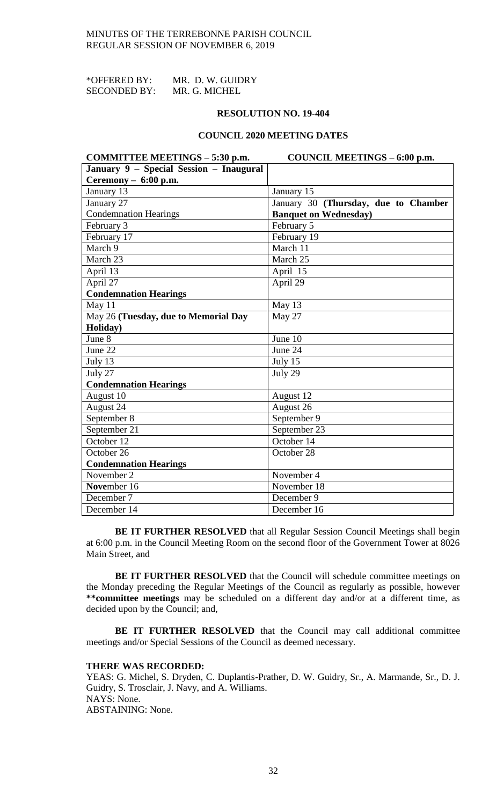| *OFFERED BY:        | MR. D. W. GUIDRY |
|---------------------|------------------|
| <b>SECONDED BY:</b> | MR. G. MICHEL    |

### **RESOLUTION NO. 19-404**

## **COUNCIL 2020 MEETING DATES**

| COMMITTEE MEETINGS - 5:30 p.m.          | COUNCIL MEETINGS - 6:00 p.m.         |
|-----------------------------------------|--------------------------------------|
| January 9 - Special Session - Inaugural |                                      |
| Ceremony $-6:00$ p.m.                   |                                      |
| January 13                              | January 15                           |
| January 27                              | January 30 (Thursday, due to Chamber |
| <b>Condemnation Hearings</b>            | <b>Banquet on Wednesday</b> )        |
| February 3                              | February 5                           |
| February 17                             | February 19                          |
| March 9                                 | March 11                             |
| March 23                                | March 25                             |
| April $13$                              | April 15                             |
| April 27                                | April 29                             |
| <b>Condemnation Hearings</b>            |                                      |
| May 11                                  | May 13                               |
| May 26 (Tuesday, due to Memorial Day    | May 27                               |
| Holiday)                                |                                      |
| June 8                                  | June 10                              |
| June 22                                 | June 24                              |
| July 13                                 | July 15                              |
| July 27                                 | July 29                              |
| <b>Condemnation Hearings</b>            |                                      |
| August 10                               | August 12                            |
| August 24                               | August 26                            |
| September 8                             | September 9                          |
| September 21                            | September 23                         |
| October 12                              | October 14                           |
| October 26                              | October 28                           |
| <b>Condemnation Hearings</b>            |                                      |
| November 2                              | November 4                           |
| November 16                             | November 18                          |
| December 7                              | December 9                           |
| December 14                             | December 16                          |

**BE IT FURTHER RESOLVED** that all Regular Session Council Meetings shall begin at 6:00 p.m. in the Council Meeting Room on the second floor of the Government Tower at 8026 Main Street, and

**BE IT FURTHER RESOLVED** that the Council will schedule committee meetings on the Monday preceding the Regular Meetings of the Council as regularly as possible, however **\*\*committee meetings** may be scheduled on a different day and/or at a different time, as decided upon by the Council; and,

**BE IT FURTHER RESOLVED** that the Council may call additional committee meetings and/or Special Sessions of the Council as deemed necessary.

#### **THERE WAS RECORDED:**

YEAS: G. Michel, S. Dryden, C. Duplantis-Prather, D. W. Guidry, Sr., A. Marmande, Sr., D. J. Guidry, S. Trosclair, J. Navy, and A. Williams. NAYS: None. ABSTAINING: None.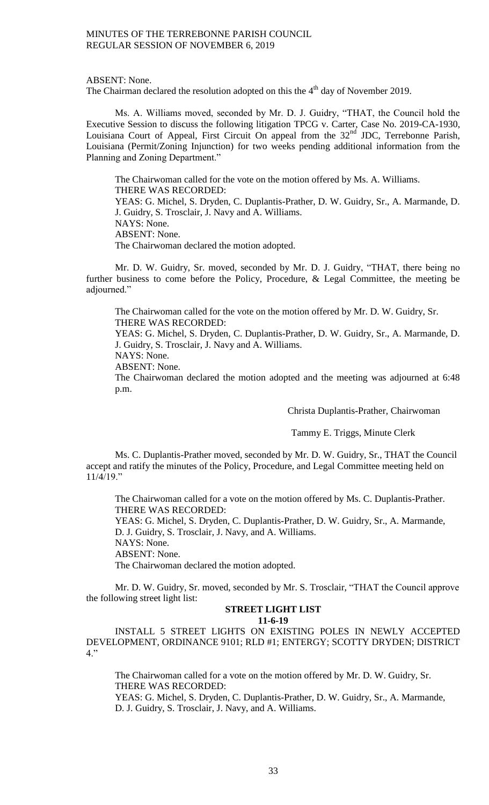ABSENT: None.

The Chairman declared the resolution adopted on this the  $4<sup>th</sup>$  day of November 2019.

Ms. A. Williams moved, seconded by Mr. D. J. Guidry, "THAT, the Council hold the Executive Session to discuss the following litigation TPCG v. Carter, Case No. 2019-CA-1930, Louisiana Court of Appeal, First Circuit On appeal from the  $32<sup>nd</sup>$  JDC, Terrebonne Parish, Louisiana (Permit/Zoning Injunction) for two weeks pending additional information from the Planning and Zoning Department."

The Chairwoman called for the vote on the motion offered by Ms. A. Williams. THERE WAS RECORDED: YEAS: G. Michel, S. Dryden, C. Duplantis-Prather, D. W. Guidry, Sr., A. Marmande, D. J. Guidry, S. Trosclair, J. Navy and A. Williams. NAYS: None. ABSENT: None. The Chairwoman declared the motion adopted.

Mr. D. W. Guidry, Sr. moved, seconded by Mr. D. J. Guidry, "THAT, there being no further business to come before the Policy, Procedure, & Legal Committee, the meeting be adjourned."

The Chairwoman called for the vote on the motion offered by Mr. D. W. Guidry, Sr. THERE WAS RECORDED:

YEAS: G. Michel, S. Dryden, C. Duplantis-Prather, D. W. Guidry, Sr., A. Marmande, D. J. Guidry, S. Trosclair, J. Navy and A. Williams.

NAYS: None.

ABSENT: None.

The Chairwoman declared the motion adopted and the meeting was adjourned at 6:48 p.m.

Christa Duplantis-Prather, Chairwoman

Tammy E. Triggs, Minute Clerk

Ms. C. Duplantis-Prather moved, seconded by Mr. D. W. Guidry, Sr., THAT the Council accept and ratify the minutes of the Policy, Procedure, and Legal Committee meeting held on 11/4/19."

The Chairwoman called for a vote on the motion offered by Ms. C. Duplantis-Prather. THERE WAS RECORDED:

YEAS: G. Michel, S. Dryden, C. Duplantis-Prather, D. W. Guidry, Sr., A. Marmande, D. J. Guidry, S. Trosclair, J. Navy, and A. Williams. NAYS: None.

ABSENT: None.

The Chairwoman declared the motion adopted.

Mr. D. W. Guidry, Sr. moved, seconded by Mr. S. Trosclair, "THAT the Council approve the following street light list:

# **STREET LIGHT LIST**

**11-6-19**

INSTALL 5 STREET LIGHTS ON EXISTING POLES IN NEWLY ACCEPTED DEVELOPMENT, ORDINANCE 9101; RLD #1; ENTERGY; SCOTTY DRYDEN; DISTRICT  $4.$ "

The Chairwoman called for a vote on the motion offered by Mr. D. W. Guidry, Sr. THERE WAS RECORDED:

YEAS: G. Michel, S. Dryden, C. Duplantis-Prather, D. W. Guidry, Sr., A. Marmande, D. J. Guidry, S. Trosclair, J. Navy, and A. Williams.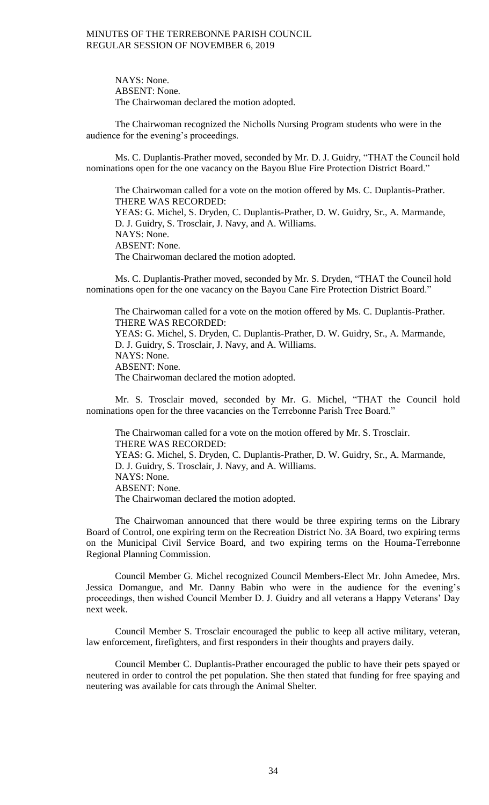NAYS: None. ABSENT: None. The Chairwoman declared the motion adopted.

The Chairwoman recognized the Nicholls Nursing Program students who were in the audience for the evening's proceedings.

Ms. C. Duplantis-Prather moved, seconded by Mr. D. J. Guidry, "THAT the Council hold nominations open for the one vacancy on the Bayou Blue Fire Protection District Board."

The Chairwoman called for a vote on the motion offered by Ms. C. Duplantis-Prather. THERE WAS RECORDED: YEAS: G. Michel, S. Dryden, C. Duplantis-Prather, D. W. Guidry, Sr., A. Marmande, D. J. Guidry, S. Trosclair, J. Navy, and A. Williams. NAYS: None. ABSENT: None. The Chairwoman declared the motion adopted.

Ms. C. Duplantis-Prather moved, seconded by Mr. S. Dryden, "THAT the Council hold nominations open for the one vacancy on the Bayou Cane Fire Protection District Board."

The Chairwoman called for a vote on the motion offered by Ms. C. Duplantis-Prather. THERE WAS RECORDED: YEAS: G. Michel, S. Dryden, C. Duplantis-Prather, D. W. Guidry, Sr., A. Marmande, D. J. Guidry, S. Trosclair, J. Navy, and A. Williams. NAYS: None. ABSENT: None. The Chairwoman declared the motion adopted.

Mr. S. Trosclair moved, seconded by Mr. G. Michel, "THAT the Council hold nominations open for the three vacancies on the Terrebonne Parish Tree Board."

The Chairwoman called for a vote on the motion offered by Mr. S. Trosclair. THERE WAS RECORDED: YEAS: G. Michel, S. Dryden, C. Duplantis-Prather, D. W. Guidry, Sr., A. Marmande, D. J. Guidry, S. Trosclair, J. Navy, and A. Williams. NAYS: None. ABSENT: None. The Chairwoman declared the motion adopted.

The Chairwoman announced that there would be three expiring terms on the Library Board of Control, one expiring term on the Recreation District No. 3A Board, two expiring terms on the Municipal Civil Service Board, and two expiring terms on the Houma-Terrebonne Regional Planning Commission.

Council Member G. Michel recognized Council Members-Elect Mr. John Amedee, Mrs. Jessica Domangue, and Mr. Danny Babin who were in the audience for the evening's proceedings, then wished Council Member D. J. Guidry and all veterans a Happy Veterans' Day next week.

Council Member S. Trosclair encouraged the public to keep all active military, veteran, law enforcement, firefighters, and first responders in their thoughts and prayers daily.

Council Member C. Duplantis-Prather encouraged the public to have their pets spayed or neutered in order to control the pet population. She then stated that funding for free spaying and neutering was available for cats through the Animal Shelter.